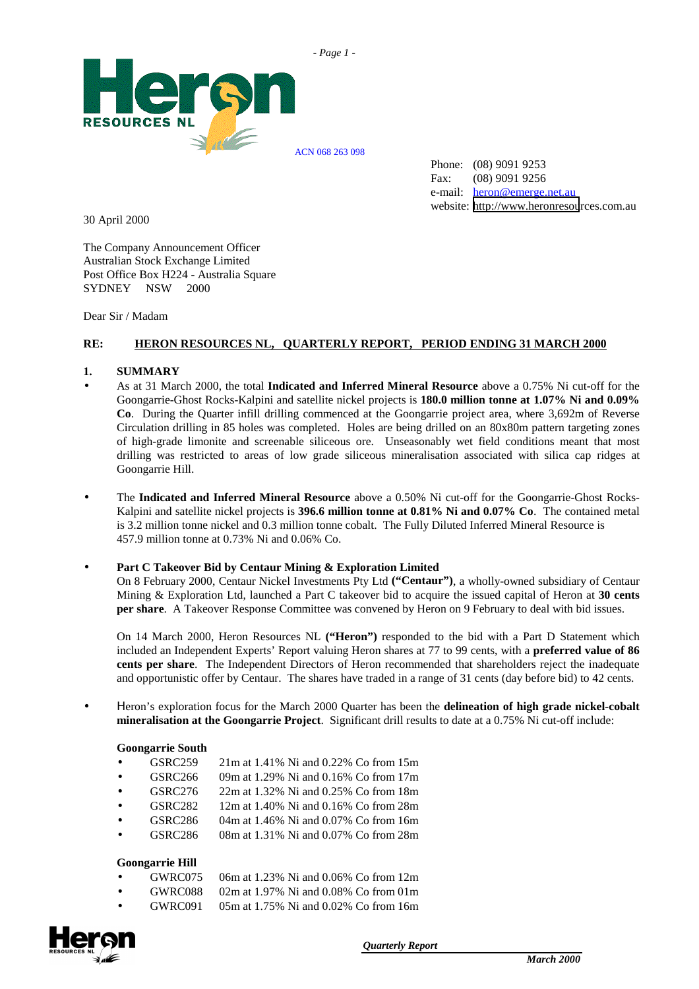



Phone: (08) 9091 9253 Fax: (08) 9091 9256 e-mail: heron@emerge.net.au website: [http://www.heronresou](mailto:heron@emerge.net.au)rces.com.au

30 April 2000

The Company Announcement Officer Australian Stock Exchange Limited Post Office Box H224 - Australia Square SYDNEY NSW 2000

Dear Sir / Madam

#### **RE: HERON RESOURCES NL, QUARTERLY REPORT, PERIOD ENDING 31 MARCH 2000**

#### **1. SUMMARY**

- As at 31 March 2000, the total **Indicated and Inferred Mineral Resource** above a 0.75% Ni cut-off for the Goongarrie-Ghost Rocks-Kalpini and satellite nickel projects is **180.0 million tonne at 1.07% Ni and 0.09% Co**. During the Quarter infill drilling commenced at the Goongarrie project area, where 3,692m of Reverse Circulation drilling in 85 holes was completed. Holes are being drilled on an 80x80m pattern targeting zones of high-grade limonite and screenable siliceous ore. Unseasonably wet field conditions meant that most drilling was restricted to areas of low grade siliceous mineralisation associated with silica cap ridges at Goongarrie Hill.
- The **Indicated and Inferred Mineral Resource** above a 0.50% Ni cut-off for the Goongarrie-Ghost Rocks-Kalpini and satellite nickel projects is **396.6 million tonne at 0.81% Ni and 0.07% Co**. The contained metal is 3.2 million tonne nickel and 0.3 million tonne cobalt. The Fully Diluted Inferred Mineral Resource is 457.9 million tonne at 0.73% Ni and 0.06% Co.

#### • **Part C Takeover Bid by Centaur Mining & Exploration Limited**

On 8 February 2000, Centaur Nickel Investments Pty Ltd **("Centaur")**, a wholly-owned subsidiary of Centaur Mining & Exploration Ltd, launched a Part C takeover bid to acquire the issued capital of Heron at **30 cents per share**. A Takeover Response Committee was convened by Heron on 9 February to deal with bid issues.

On 14 March 2000, Heron Resources NL **("Heron")** responded to the bid with a Part D Statement which included an Independent Experts' Report valuing Heron shares at 77 to 99 cents, with a **preferred value of 86 cents per share**. The Independent Directors of Heron recommended that shareholders reject the inadequate and opportunistic offer by Centaur. The shares have traded in a range of 31 cents (day before bid) to 42 cents.

• Ηeron's exploration focus for the March 2000 Quarter has been the **delineation of high grade nickel-cobalt mineralisation at the Goongarrie Project**. Significant drill results to date at a 0.75% Ni cut-off include:

#### **Goongarrie South**

| $\bullet$ | GSRC259             | 21m at 1.41% Ni and 0.22% Co from 15m |
|-----------|---------------------|---------------------------------------|
| $\bullet$ | GSRC <sub>266</sub> | 09m at 1.29% Ni and 0.16% Co from 17m |
| $\bullet$ | GSRC276             | 22m at 1.32% Ni and 0.25% Co from 18m |
| $\bullet$ | GSRC <sub>282</sub> | 12m at 1.40% Ni and 0.16% Co from 28m |
| $\bullet$ | GSRC <sub>286</sub> | 04m at 1.46% Ni and 0.07% Co from 16m |
| $\bullet$ | GSRC286             | 08m at 1.31% Ni and 0.07% Co from 28m |
|           |                     |                                       |

#### **Goongarrie Hill**

| $\bullet$ | GWRC075 | 06m at 1.23% Ni and 0.06% Co from 12m   |
|-----------|---------|-----------------------------------------|
| $\bullet$ | GWRC088 | 02m at 1.97% Ni and 0.08% Co from $01m$ |
| $\bullet$ | GWRC091 | 05m at 1.75% Ni and 0.02% Co from 16m   |

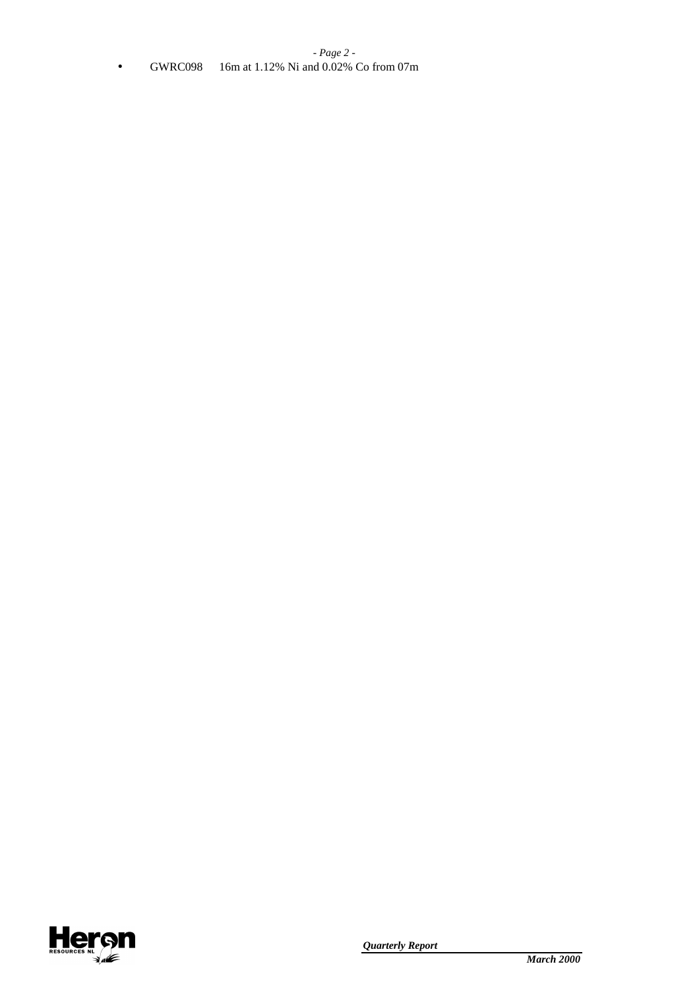## *- Page 2 -* • GWRC098 16m at 1.12% Ni and 0.02% Co from 07m

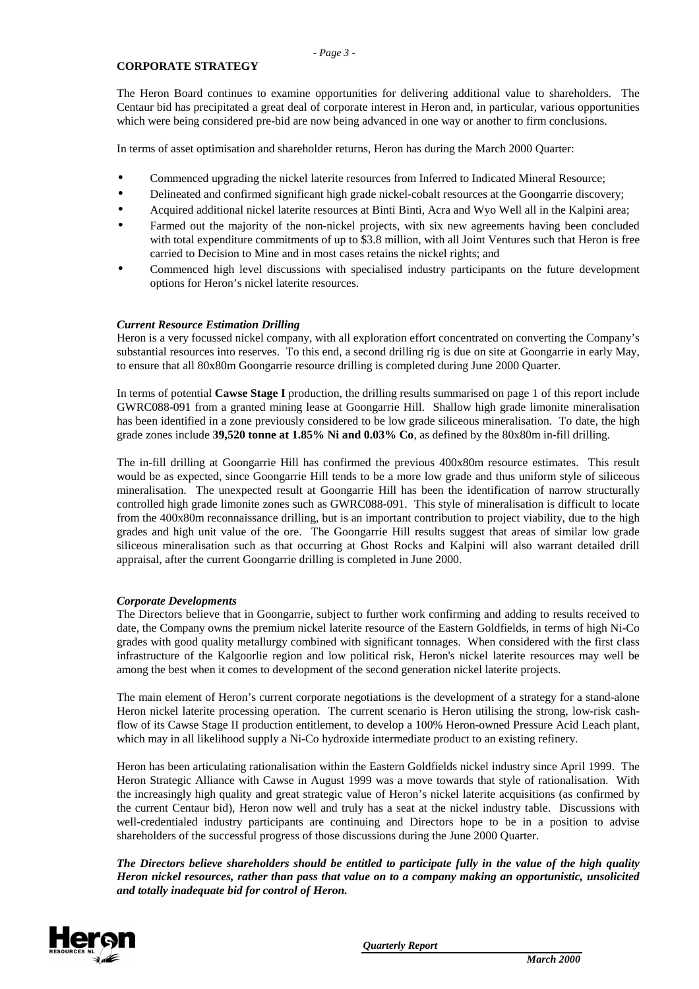#### **CORPORATE STRATEGY**

The Heron Board continues to examine opportunities for delivering additional value to shareholders. The Centaur bid has precipitated a great deal of corporate interest in Heron and, in particular, various opportunities which were being considered pre-bid are now being advanced in one way or another to firm conclusions.

In terms of asset optimisation and shareholder returns, Heron has during the March 2000 Quarter:

- Commenced upgrading the nickel laterite resources from Inferred to Indicated Mineral Resource;
- Delineated and confirmed significant high grade nickel-cobalt resources at the Goongarrie discovery;
- Acquired additional nickel laterite resources at Binti Binti, Acra and Wyo Well all in the Kalpini area;
- Farmed out the majority of the non-nickel projects, with six new agreements having been concluded with total expenditure commitments of up to \$3.8 million, with all Joint Ventures such that Heron is free carried to Decision to Mine and in most cases retains the nickel rights; and
- Commenced high level discussions with specialised industry participants on the future development options for Heron's nickel laterite resources.

#### *Current Resource Estimation Drilling*

Heron is a very focussed nickel company, with all exploration effort concentrated on converting the Company's substantial resources into reserves. To this end, a second drilling rig is due on site at Goongarrie in early May, to ensure that all 80x80m Goongarrie resource drilling is completed during June 2000 Quarter.

In terms of potential **Cawse Stage I** production, the drilling results summarised on page 1 of this report include GWRC088-091 from a granted mining lease at Goongarrie Hill. Shallow high grade limonite mineralisation has been identified in a zone previously considered to be low grade siliceous mineralisation. To date, the high grade zones include **39,520 tonne at 1.85% Ni and 0.03% Co**, as defined by the 80x80m in-fill drilling.

The in-fill drilling at Goongarrie Hill has confirmed the previous 400x80m resource estimates. This result would be as expected, since Goongarrie Hill tends to be a more low grade and thus uniform style of siliceous mineralisation. The unexpected result at Goongarrie Hill has been the identification of narrow structurally controlled high grade limonite zones such as GWRC088-091. This style of mineralisation is difficult to locate from the 400x80m reconnaissance drilling, but is an important contribution to project viability, due to the high grades and high unit value of the ore. The Goongarrie Hill results suggest that areas of similar low grade siliceous mineralisation such as that occurring at Ghost Rocks and Kalpini will also warrant detailed drill appraisal, after the current Goongarrie drilling is completed in June 2000.

#### *Corporate Developments*

The Directors believe that in Goongarrie, subject to further work confirming and adding to results received to date, the Company owns the premium nickel laterite resource of the Eastern Goldfields, in terms of high Ni-Co grades with good quality metallurgy combined with significant tonnages. When considered with the first class infrastructure of the Kalgoorlie region and low political risk, Heron's nickel laterite resources may well be among the best when it comes to development of the second generation nickel laterite projects.

The main element of Heron's current corporate negotiations is the development of a strategy for a stand-alone Heron nickel laterite processing operation. The current scenario is Heron utilising the strong, low-risk cashflow of its Cawse Stage II production entitlement, to develop a 100% Heron-owned Pressure Acid Leach plant, which may in all likelihood supply a Ni-Co hydroxide intermediate product to an existing refinery.

Heron has been articulating rationalisation within the Eastern Goldfields nickel industry since April 1999. The Heron Strategic Alliance with Cawse in August 1999 was a move towards that style of rationalisation. With the increasingly high quality and great strategic value of Heron's nickel laterite acquisitions (as confirmed by the current Centaur bid), Heron now well and truly has a seat at the nickel industry table. Discussions with well-credentialed industry participants are continuing and Directors hope to be in a position to advise shareholders of the successful progress of those discussions during the June 2000 Quarter.

*The Directors believe shareholders should be entitled to participate fully in the value of the high quality Heron nickel resources, rather than pass that value on to a company making an opportunistic, unsolicited and totally inadequate bid for control of Heron.*

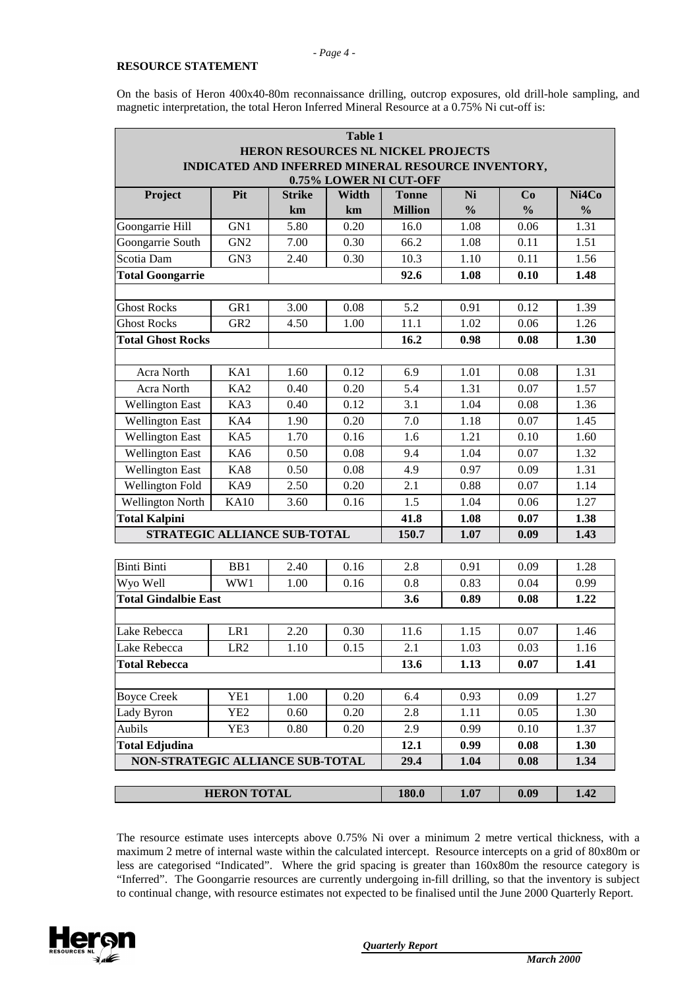#### **RESOURCE STATEMENT**

*- Page 4 -*

|                                    |                    |               | <b>Table 1</b> |                                                    |               |               |               |  |  |
|------------------------------------|--------------------|---------------|----------------|----------------------------------------------------|---------------|---------------|---------------|--|--|
| HERON RESOURCES NL NICKEL PROJECTS |                    |               |                |                                                    |               |               |               |  |  |
|                                    |                    |               |                | INDICATED AND INFERRED MINERAL RESOURCE INVENTORY, |               |               |               |  |  |
| 0.75% LOWER NI CUT-OFF             |                    |               |                |                                                    |               |               |               |  |  |
| Project                            | Pit                | <b>Strike</b> | Width          | <b>Tonne</b>                                       | Ni            | Co            | Ni4Co         |  |  |
|                                    |                    | km            | km             | <b>Million</b>                                     | $\frac{0}{0}$ | $\frac{0}{0}$ | $\frac{0}{0}$ |  |  |
| Goongarrie Hill                    | GN1                | 5.80          | 0.20           | 16.0                                               | 1.08          | 0.06          | 1.31          |  |  |
| Goongarrie South                   | GN <sub>2</sub>    | 7.00          | 0.30           | 66.2                                               | 1.08          | 0.11          | 1.51          |  |  |
| Scotia Dam                         | GN <sub>3</sub>    | 2.40          | 0.30           | 10.3                                               | 1.10          | 0.11          | 1.56          |  |  |
| <b>Total Goongarrie</b>            |                    |               |                | 92.6                                               | 1.08          | 0.10          | 1.48          |  |  |
|                                    |                    |               |                |                                                    |               |               |               |  |  |
| <b>Ghost Rocks</b>                 | GR1                | 3.00          | 0.08           | 5.2                                                | 0.91          | 0.12          | 1.39          |  |  |
| <b>Ghost Rocks</b>                 | GR <sub>2</sub>    | 4.50          | 1.00           | 11.1                                               | 1.02          | 0.06          | 1.26          |  |  |
| <b>Total Ghost Rocks</b>           |                    |               |                | 16.2                                               | 0.98          | 0.08          | 1.30          |  |  |
|                                    |                    |               |                |                                                    |               |               |               |  |  |
| Acra North                         | KA1                | 1.60          | 0.12           | 6.9                                                | 1.01          | 0.08          | 1.31          |  |  |
| Acra North                         | KA <sub>2</sub>    | 0.40          | 0.20           | 5.4                                                | 1.31          | 0.07          | 1.57          |  |  |
| <b>Wellington East</b>             | KA3                | 0.40          | 0.12           | 3.1                                                | 1.04          | 0.08          | 1.36          |  |  |
| <b>Wellington East</b>             | KA4                | 1.90          | 0.20           | 7.0                                                | 1.18          | 0.07          | 1.45          |  |  |
| <b>Wellington East</b>             | KA5                | 1.70          | 0.16           | 1.6                                                | 1.21          | 0.10          | 1.60          |  |  |
| <b>Wellington East</b>             | KA6                | 0.50          | 0.08           | 9.4                                                | 1.04          | 0.07          | 1.32          |  |  |
| <b>Wellington East</b>             | KA8                | 0.50          | 0.08           | 4.9                                                | 0.97          | 0.09          | 1.31          |  |  |
| <b>Wellington Fold</b>             | KA9                | 2.50          | 0.20           | 2.1                                                | 0.88          | 0.07          | 1.14          |  |  |
| <b>Wellington North</b>            | <b>KA10</b>        | 3.60          | 0.16           | 1.5                                                | 1.04          | 0.06          | 1.27          |  |  |
| <b>Total Kalpini</b>               |                    |               |                | 41.8                                               | 1.08          | 0.07          | 1.38          |  |  |
| STRATEGIC ALLIANCE SUB-TOTAL       |                    |               |                | 150.7                                              | 1.07          | 0.09          | 1.43          |  |  |
|                                    |                    |               |                |                                                    |               |               |               |  |  |
| <b>Binti Binti</b>                 | BB1                | 2.40          | 0.16           | 2.8                                                | 0.91          | 0.09          | 1.28          |  |  |
| Wyo Well                           | WW1                | 1.00          | 0.16           | 0.8                                                | 0.83          | 0.04          | 0.99          |  |  |
| <b>Total Gindalbie East</b>        |                    |               |                | 3.6                                                | 0.89          | 0.08          | 1.22          |  |  |
|                                    |                    |               |                |                                                    |               |               |               |  |  |
| Lake Rebecca                       | LR1                | 2.20          | 0.30           | 11.6                                               | 1.15          | 0.07          | 1.46          |  |  |
| Lake Rebecca                       | LR <sub>2</sub>    | 1.10          | 0.15           | 2.1                                                | 1.03          | 0.03          | 1.16          |  |  |
| <b>Total Rebecca</b>               |                    |               |                | 13.6                                               | 1.13          | 0.07          | 1.41          |  |  |
|                                    |                    |               |                |                                                    |               |               |               |  |  |
| <b>Boyce Creek</b>                 | YE1                | 1.00          | 0.20           | 6.4                                                | 0.93          | 0.09          | 1.27          |  |  |
| Lady Byron                         | YE <sub>2</sub>    | 0.60          | 0.20           | 2.8                                                | 1.11          | 0.05          | 1.30          |  |  |
| Aubils                             | YE3                | 0.80          | 0.20           | 2.9                                                | 0.99          | 0.10          | 1.37          |  |  |
| <b>Total Edjudina</b>              |                    |               |                | 12.1                                               | 0.99          | 0.08          | 1.30          |  |  |
| NON-STRATEGIC ALLIANCE SUB-TOTAL   |                    |               |                | 29.4                                               | 1.04          | 0.08          | 1.34          |  |  |
|                                    |                    |               |                |                                                    |               |               |               |  |  |
|                                    | <b>HERON TOTAL</b> |               |                | 180.0                                              | 1.07          | 0.09          | 1.42          |  |  |

The resource estimate uses intercepts above 0.75% Ni over a minimum 2 metre vertical thickness, with a maximum 2 metre of internal waste within the calculated intercept. Resource intercepts on a grid of 80x80m or less are categorised "Indicated". Where the grid spacing is greater than 160x80m the resource category is "Inferred". The Goongarrie resources are currently undergoing in-fill drilling, so that the inventory is subject to continual change, with resource estimates not expected to be finalised until the June 2000 Quarterly Report.

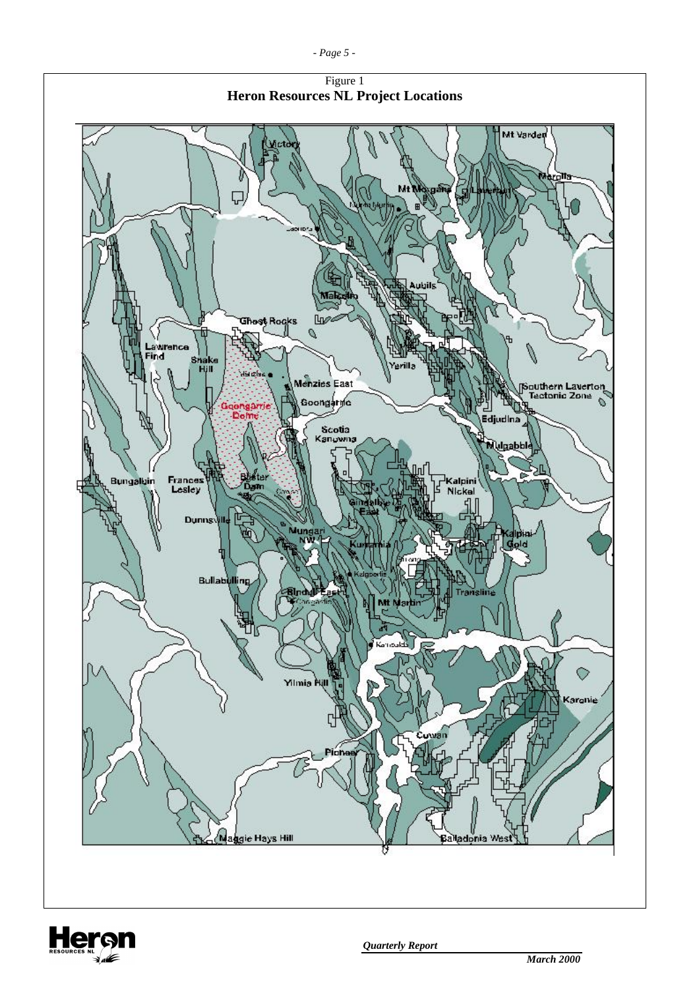



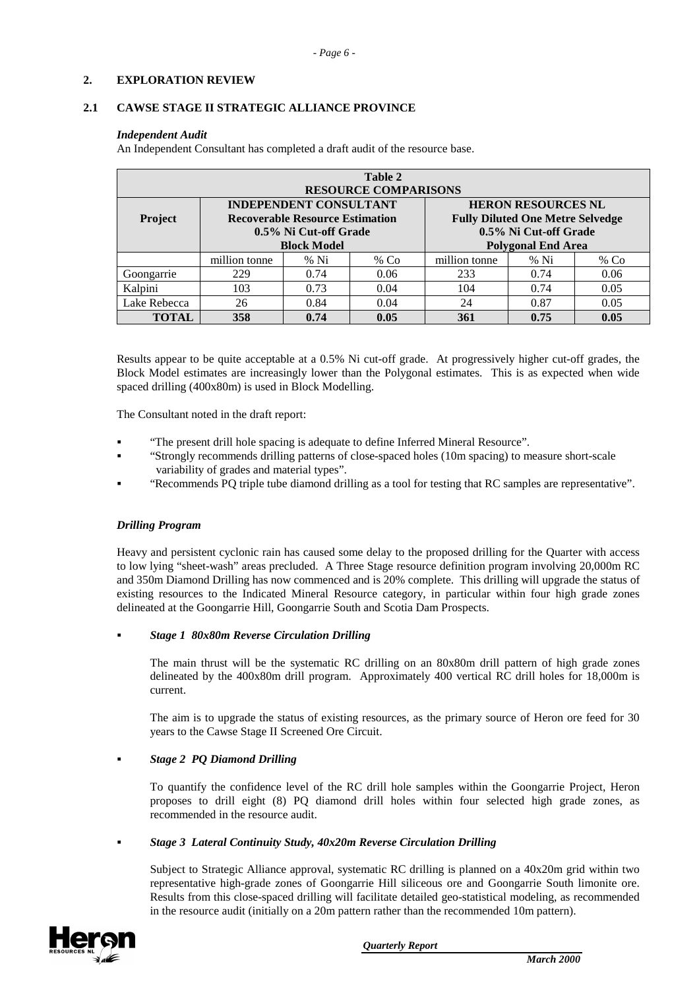## **2. EXPLORATION REVIEW**

#### **2.1 CAWSE STAGE II STRATEGIC ALLIANCE PROVINCE**

#### *Independent Audit*

An Independent Consultant has completed a draft audit of the resource base.

| Table 2<br><b>RESOURCE COMPARISONS</b> |                                                                                                                        |        |      |                                                                                                                            |        |        |  |  |  |  |
|----------------------------------------|------------------------------------------------------------------------------------------------------------------------|--------|------|----------------------------------------------------------------------------------------------------------------------------|--------|--------|--|--|--|--|
| <b>Project</b>                         | <b>INDEPENDENT CONSULTANT</b><br><b>Recoverable Resource Estimation</b><br>0.5% Ni Cut-off Grade<br><b>Block Model</b> |        |      | <b>HERON RESOURCES NL</b><br><b>Fully Diluted One Metre Selvedge</b><br>0.5% Ni Cut-off Grade<br><b>Polygonal End Area</b> |        |        |  |  |  |  |
|                                        | million tonne                                                                                                          | $%$ Ni | % Co | million tonne                                                                                                              | $%$ Ni | % $Co$ |  |  |  |  |
| Goongarrie                             | 229                                                                                                                    | 0.74   | 0.06 | 233                                                                                                                        | 0.74   | 0.06   |  |  |  |  |
| Kalpini                                | 103                                                                                                                    | 0.73   | 0.04 | 104                                                                                                                        | 0.74   | 0.05   |  |  |  |  |
| Lake Rebecca                           | 26                                                                                                                     | 0.84   | 0.04 | 24                                                                                                                         | 0.87   | 0.05   |  |  |  |  |
| TOTAL                                  | 358                                                                                                                    | 0.74   | 0.05 | 361                                                                                                                        | 0.75   | 0.05   |  |  |  |  |

Results appear to be quite acceptable at a 0.5% Ni cut-off grade. At progressively higher cut-off grades, the Block Model estimates are increasingly lower than the Polygonal estimates. This is as expected when wide spaced drilling (400x80m) is used in Block Modelling.

The Consultant noted in the draft report:

- ! "The present drill hole spacing is adequate to define Inferred Mineral Resource".
- ! "Strongly recommends drilling patterns of close-spaced holes (10m spacing) to measure short-scale variability of grades and material types".
- ! "Recommends PQ triple tube diamond drilling as a tool for testing that RC samples are representative".

# *Drilling Program*

Heavy and persistent cyclonic rain has caused some delay to the proposed drilling for the Quarter with access to low lying "sheet-wash" areas precluded. A Three Stage resource definition program involving 20,000m RC and 350m Diamond Drilling has now commenced and is 20% complete. This drilling will upgrade the status of existing resources to the Indicated Mineral Resource category, in particular within four high grade zones delineated at the Goongarrie Hill, Goongarrie South and Scotia Dam Prospects.

# ! *Stage 1 80x80m Reverse Circulation Drilling*

The main thrust will be the systematic RC drilling on an 80x80m drill pattern of high grade zones delineated by the 400x80m drill program. Approximately 400 vertical RC drill holes for 18,000m is current.

The aim is to upgrade the status of existing resources, as the primary source of Heron ore feed for 30 years to the Cawse Stage II Screened Ore Circuit.

# ! *Stage 2 PQ Diamond Drilling*

To quantify the confidence level of the RC drill hole samples within the Goongarrie Project, Heron proposes to drill eight (8) PQ diamond drill holes within four selected high grade zones, as recommended in the resource audit.

#### ! *Stage 3 Lateral Continuity Study, 40x20m Reverse Circulation Drilling*

Subject to Strategic Alliance approval, systematic RC drilling is planned on a 40x20m grid within two representative high-grade zones of Goongarrie Hill siliceous ore and Goongarrie South limonite ore. Results from this close-spaced drilling will facilitate detailed geo-statistical modeling, as recommended in the resource audit (initially on a 20m pattern rather than the recommended 10m pattern).

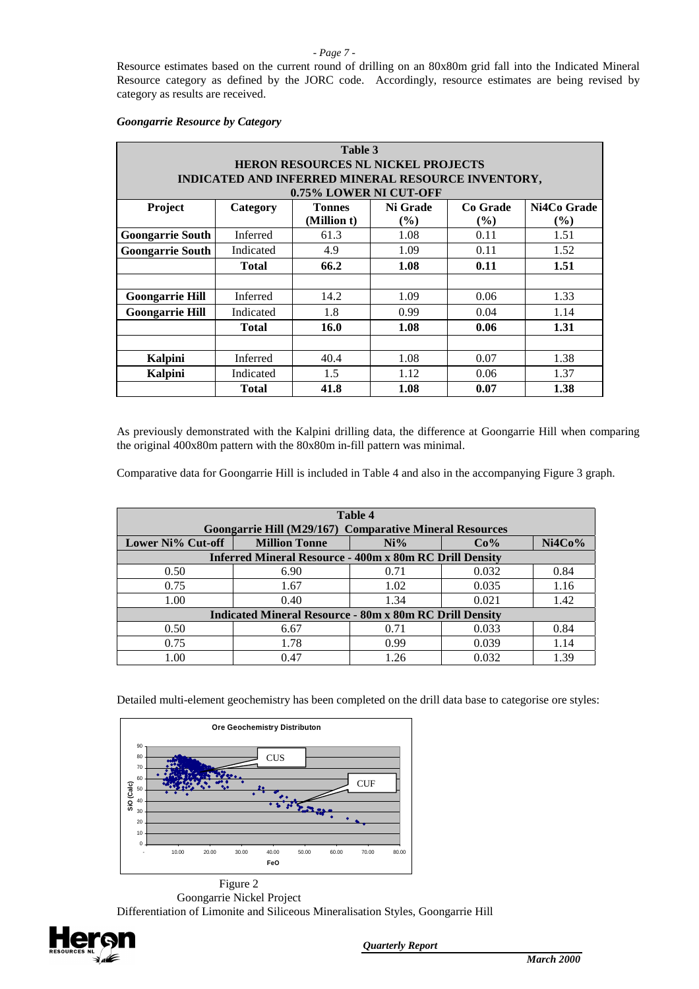#### *- Page 7 -*

Resource estimates based on the current round of drilling on an 80x80m grid fall into the Indicated Mineral Resource category as defined by the JORC code. Accordingly, resource estimates are being revised by category as results are received.

## *Goongarrie Resource by Category*

| Table 3                            |                                                                  |                        |        |      |        |  |  |  |  |  |
|------------------------------------|------------------------------------------------------------------|------------------------|--------|------|--------|--|--|--|--|--|
| HERON RESOURCES NL NICKEL PROJECTS |                                                                  |                        |        |      |        |  |  |  |  |  |
|                                    | INDICATED AND INFERRED MINERAL RESOURCE INVENTORY,               |                        |        |      |        |  |  |  |  |  |
|                                    |                                                                  | 0.75% LOWER NI CUT-OFF |        |      |        |  |  |  |  |  |
| Project                            | Ni4Co Grade<br>Ni Grade<br>Co Grade<br><b>Tonnes</b><br>Category |                        |        |      |        |  |  |  |  |  |
|                                    |                                                                  | (Million t)            | $(\%)$ | (%)  | $(\%)$ |  |  |  |  |  |
| <b>Goongarrie South</b>            | Inferred                                                         | 61.3                   | 1.08   | 0.11 | 1.51   |  |  |  |  |  |
| <b>Goongarrie South</b>            | Indicated                                                        | 4.9                    | 1.09   | 0.11 | 1.52   |  |  |  |  |  |
|                                    | <b>Total</b>                                                     | 66.2                   | 1.08   | 0.11 | 1.51   |  |  |  |  |  |
|                                    |                                                                  |                        |        |      |        |  |  |  |  |  |
| <b>Goongarrie Hill</b>             | Inferred                                                         | 14.2                   | 1.09   | 0.06 | 1.33   |  |  |  |  |  |
| <b>Goongarrie Hill</b>             | Indicated                                                        | 1.8                    | 0.99   | 0.04 | 1.14   |  |  |  |  |  |
|                                    | <b>Total</b>                                                     | 16.0                   | 1.08   | 0.06 | 1.31   |  |  |  |  |  |
|                                    |                                                                  |                        |        |      |        |  |  |  |  |  |
| <b>Kalpini</b>                     | Inferred                                                         | 40.4                   | 1.08   | 0.07 | 1.38   |  |  |  |  |  |
| Kalpini                            | Indicated                                                        | 1.5                    | 1.12   | 0.06 | 1.37   |  |  |  |  |  |
|                                    | <b>Total</b>                                                     | 41.8                   | 1.08   | 0.07 | 1.38   |  |  |  |  |  |

As previously demonstrated with the Kalpini drilling data, the difference at Goongarrie Hill when comparing the original 400x80m pattern with the 80x80m in-fill pattern was minimal.

Comparative data for Goongarrie Hill is included in Table 4 and also in the accompanying Figure 3 graph.

| Table 4<br>Goongarrie Hill (M29/167) Comparative Mineral Resources |                                                 |      |       |      |  |  |  |  |  |
|--------------------------------------------------------------------|-------------------------------------------------|------|-------|------|--|--|--|--|--|
| Lower Ni% Cut-off                                                  | Ni4Co%<br><b>Million Tonne</b><br>$Ni\%$<br>Co% |      |       |      |  |  |  |  |  |
| <b>Inferred Mineral Resource - 400m x 80m RC Drill Density</b>     |                                                 |      |       |      |  |  |  |  |  |
| 0.50                                                               | 6.90                                            | 0.71 | 0.032 | 0.84 |  |  |  |  |  |
| 0.75                                                               | 1.67                                            | 1.02 | 0.035 | 1.16 |  |  |  |  |  |
| 1.00                                                               | 0.40                                            | 1.34 | 0.021 | 1.42 |  |  |  |  |  |
| <b>Indicated Mineral Resource - 80m x 80m RC Drill Density</b>     |                                                 |      |       |      |  |  |  |  |  |
| 0.50                                                               | 6.67                                            | 0.71 | 0.033 | 0.84 |  |  |  |  |  |
| 0.75                                                               | 1.78                                            | 0.99 | 0.039 | 1.14 |  |  |  |  |  |
| 1.00                                                               | 0.47                                            | 1.26 | 0.032 | 1.39 |  |  |  |  |  |

Detailed multi-element geochemistry has been completed on the drill data base to categorise ore styles:



Figure 2 Goongarrie Nickel Project Differentiation of Limonite and Siliceous Mineralisation Styles, Goongarrie Hill

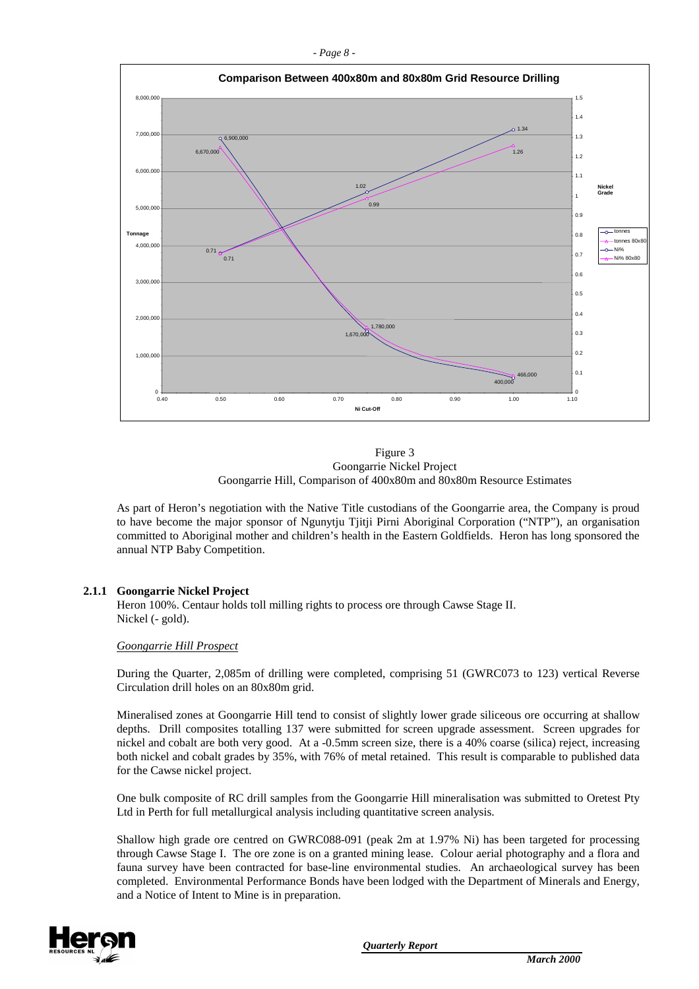





As part of Heron's negotiation with the Native Title custodians of the Goongarrie area, the Company is proud to have become the major sponsor of Ngunytju Tjitji Pirni Aboriginal Corporation ("NTP"), an organisation committed to Aboriginal mother and children's health in the Eastern Goldfields. Heron has long sponsored the annual NTP Baby Competition.

#### **2.1.1 Goongarrie Nickel Project**

Heron 100%. Centaur holds toll milling rights to process ore through Cawse Stage II. Nickel (- gold).

#### *Goongarrie Hill Prospect*

During the Quarter, 2,085m of drilling were completed, comprising 51 (GWRC073 to 123) vertical Reverse Circulation drill holes on an 80x80m grid.

Mineralised zones at Goongarrie Hill tend to consist of slightly lower grade siliceous ore occurring at shallow depths. Drill composites totalling 137 were submitted for screen upgrade assessment. Screen upgrades for nickel and cobalt are both very good. At a -0.5mm screen size, there is a 40% coarse (silica) reject, increasing both nickel and cobalt grades by 35%, with 76% of metal retained. This result is comparable to published data for the Cawse nickel project.

One bulk composite of RC drill samples from the Goongarrie Hill mineralisation was submitted to Oretest Pty Ltd in Perth for full metallurgical analysis including quantitative screen analysis.

Shallow high grade ore centred on GWRC088-091 (peak 2m at 1.97% Ni) has been targeted for processing through Cawse Stage I. The ore zone is on a granted mining lease. Colour aerial photography and a flora and fauna survey have been contracted for base-line environmental studies. An archaeological survey has been completed. Environmental Performance Bonds have been lodged with the Department of Minerals and Energy, and a Notice of Intent to Mine is in preparation.

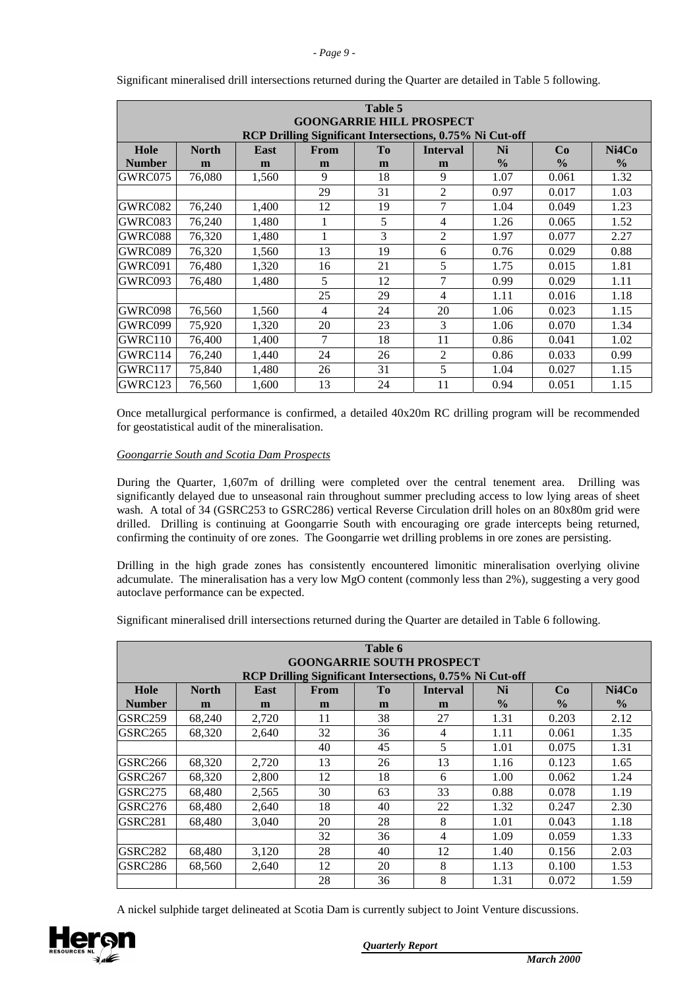#### *- Page 9 -*

| Table 5<br><b>GOONGARRIE HILL PROSPECT</b>               |                                                                                               |       |    |    |                |               |               |               |  |  |  |
|----------------------------------------------------------|-----------------------------------------------------------------------------------------------|-------|----|----|----------------|---------------|---------------|---------------|--|--|--|
| RCP Drilling Significant Intersections, 0.75% Ni Cut-off |                                                                                               |       |    |    |                |               |               |               |  |  |  |
| Hole                                                     | Ni4Co<br><b>North</b><br>T <sub>0</sub><br><b>East</b><br>From<br><b>Interval</b><br>Ni<br>Co |       |    |    |                |               |               |               |  |  |  |
| <b>Number</b>                                            | m                                                                                             | m     | m  | m  | m              | $\frac{0}{0}$ | $\frac{0}{0}$ | $\frac{0}{0}$ |  |  |  |
| GWRC075                                                  | 76,080                                                                                        | 1,560 | 9  | 18 | 9              | 1.07          | 0.061         | 1.32          |  |  |  |
|                                                          |                                                                                               |       | 29 | 31 | $\overline{c}$ | 0.97          | 0.017         | 1.03          |  |  |  |
| GWRC082                                                  | 76,240                                                                                        | 1,400 | 12 | 19 | 7              | 1.04          | 0.049         | 1.23          |  |  |  |
| GWRC083                                                  | 76,240                                                                                        | 1,480 |    | 5  | 4              | 1.26          | 0.065         | 1.52          |  |  |  |
| GWRC088                                                  | 76,320                                                                                        | 1.480 |    | 3  | $\overline{c}$ | 1.97          | 0.077         | 2.27          |  |  |  |
| GWRC089                                                  | 76,320                                                                                        | 1,560 | 13 | 19 | 6              | 0.76          | 0.029         | 0.88          |  |  |  |
| GWRC091                                                  | 76,480                                                                                        | 1,320 | 16 | 21 | 5              | 1.75          | 0.015         | 1.81          |  |  |  |
| GWRC093                                                  | 76,480                                                                                        | 1,480 | 5  | 12 | 7              | 0.99          | 0.029         | 1.11          |  |  |  |
|                                                          |                                                                                               |       | 25 | 29 | $\overline{4}$ | 1.11          | 0.016         | 1.18          |  |  |  |
| GWRC098                                                  | 76,560                                                                                        | 1,560 | 4  | 24 | 20             | 1.06          | 0.023         | 1.15          |  |  |  |
| GWRC099                                                  | 75,920                                                                                        | 1,320 | 20 | 23 | 3              | 1.06          | 0.070         | 1.34          |  |  |  |
| GWRC110                                                  | 76,400                                                                                        | 1,400 | 7  | 18 | 11             | 0.86          | 0.041         | 1.02          |  |  |  |
| GWRC114                                                  | 76,240                                                                                        | 1,440 | 24 | 26 | $\overline{2}$ | 0.86          | 0.033         | 0.99          |  |  |  |
| GWRC117                                                  | 75,840                                                                                        | 1,480 | 26 | 31 | 5              | 1.04          | 0.027         | 1.15          |  |  |  |
| GWRC123                                                  | 76,560                                                                                        | 1.600 | 13 | 24 | 11             | 0.94          | 0.051         | 1.15          |  |  |  |

Significant mineralised drill intersections returned during the Quarter are detailed in Table 5 following.

Once metallurgical performance is confirmed, a detailed 40x20m RC drilling program will be recommended for geostatistical audit of the mineralisation.

#### *Goongarrie South and Scotia Dam Prospects*

During the Quarter, 1,607m of drilling were completed over the central tenement area. Drilling was significantly delayed due to unseasonal rain throughout summer precluding access to low lying areas of sheet wash. A total of 34 (GSRC253 to GSRC286) vertical Reverse Circulation drill holes on an 80x80m grid were drilled. Drilling is continuing at Goongarrie South with encouraging ore grade intercepts being returned, confirming the continuity of ore zones. The Goongarrie wet drilling problems in ore zones are persisting.

Drilling in the high grade zones has consistently encountered limonitic mineralisation overlying olivine adcumulate. The mineralisation has a very low MgO content (commonly less than 2%), suggesting a very good autoclave performance can be expected.

Significant mineralised drill intersections returned during the Quarter are detailed in Table 6 following.

| Table 6<br><b>GOONGARRIE SOUTH PROSPECT</b><br>RCP Drilling Significant Intersections, 0.75% Ni Cut-off |        |       |    |    |    |               |               |               |  |  |
|---------------------------------------------------------------------------------------------------------|--------|-------|----|----|----|---------------|---------------|---------------|--|--|
| Hole<br>Ni4Co<br><b>North</b><br>Tо<br><b>East</b><br><b>Interval</b><br>Ni<br>Co<br><b>From</b>        |        |       |    |    |    |               |               |               |  |  |
| <b>Number</b>                                                                                           | m      | m     | m  | m  | m  | $\frac{0}{0}$ | $\frac{0}{0}$ | $\frac{0}{0}$ |  |  |
| GSRC259                                                                                                 | 68,240 | 2,720 | 11 | 38 | 27 | 1.31          | 0.203         | 2.12          |  |  |
| GSRC265                                                                                                 | 68,320 | 2,640 | 32 | 36 | 4  | 1.11          | 0.061         | 1.35          |  |  |
|                                                                                                         |        |       | 40 | 45 | 5  | 1.01          | 0.075         | 1.31          |  |  |
| GSRC266                                                                                                 | 68,320 | 2,720 | 13 | 26 | 13 | 1.16          | 0.123         | 1.65          |  |  |
| GSRC267                                                                                                 | 68,320 | 2,800 | 12 | 18 | 6  | 1.00          | 0.062         | 1.24          |  |  |
| <b>GSRC275</b>                                                                                          | 68.480 | 2.565 | 30 | 63 | 33 | 0.88          | 0.078         | 1.19          |  |  |
| GSRC276                                                                                                 | 68,480 | 2,640 | 18 | 40 | 22 | 1.32          | 0.247         | 2.30          |  |  |
| GSRC281                                                                                                 | 68,480 | 3.040 | 20 | 28 | 8  | 1.01          | 0.043         | 1.18          |  |  |
|                                                                                                         |        |       | 32 | 36 | 4  | 1.09          | 0.059         | 1.33          |  |  |
| <b>GSRC282</b>                                                                                          | 68,480 | 3,120 | 28 | 40 | 12 | 1.40          | 0.156         | 2.03          |  |  |
| GSRC286                                                                                                 | 68.560 | 2.640 | 12 | 20 | 8  | 1.13          | 0.100         | 1.53          |  |  |
|                                                                                                         |        |       | 28 | 36 | 8  | 1.31          | 0.072         | 1.59          |  |  |

A nickel sulphide target delineated at Scotia Dam is currently subject to Joint Venture discussions.

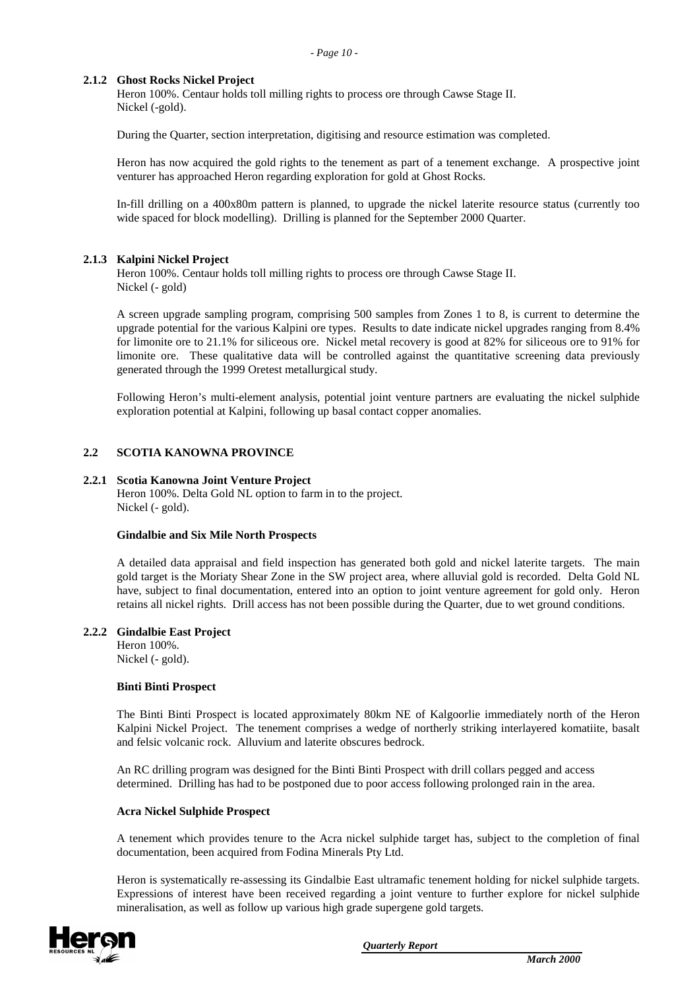*- Page 10 -*

### **2.1.2 Ghost Rocks Nickel Project**

Heron 100%. Centaur holds toll milling rights to process ore through Cawse Stage II. Nickel (-gold).

During the Quarter, section interpretation, digitising and resource estimation was completed.

Heron has now acquired the gold rights to the tenement as part of a tenement exchange. A prospective joint venturer has approached Heron regarding exploration for gold at Ghost Rocks.

In-fill drilling on a 400x80m pattern is planned, to upgrade the nickel laterite resource status (currently too wide spaced for block modelling). Drilling is planned for the September 2000 Quarter.

#### **2.1.3 Kalpini Nickel Project**

Heron 100%. Centaur holds toll milling rights to process ore through Cawse Stage II. Nickel (- gold)

A screen upgrade sampling program, comprising 500 samples from Zones 1 to 8, is current to determine the upgrade potential for the various Kalpini ore types. Results to date indicate nickel upgrades ranging from 8.4% for limonite ore to 21.1% for siliceous ore. Nickel metal recovery is good at 82% for siliceous ore to 91% for limonite ore. These qualitative data will be controlled against the quantitative screening data previously generated through the 1999 Oretest metallurgical study.

Following Heron's multi-element analysis, potential joint venture partners are evaluating the nickel sulphide exploration potential at Kalpini, following up basal contact copper anomalies.

## **2.2 SCOTIA KANOWNA PROVINCE**

#### **2.2.1 Scotia Kanowna Joint Venture Project**

Heron 100%. Delta Gold NL option to farm in to the project. Nickel (- gold).

#### **Gindalbie and Six Mile North Prospects**

A detailed data appraisal and field inspection has generated both gold and nickel laterite targets. The main gold target is the Moriaty Shear Zone in the SW project area, where alluvial gold is recorded. Delta Gold NL have, subject to final documentation, entered into an option to joint venture agreement for gold only. Heron retains all nickel rights. Drill access has not been possible during the Quarter, due to wet ground conditions.

#### **2.2.2 Gindalbie East Project**

Heron 100%. Nickel (- gold).

#### **Binti Binti Prospect**

The Binti Binti Prospect is located approximately 80km NE of Kalgoorlie immediately north of the Heron Kalpini Nickel Project. The tenement comprises a wedge of northerly striking interlayered komatiite, basalt and felsic volcanic rock. Alluvium and laterite obscures bedrock.

An RC drilling program was designed for the Binti Binti Prospect with drill collars pegged and access determined. Drilling has had to be postponed due to poor access following prolonged rain in the area.

#### **Acra Nickel Sulphide Prospect**

A tenement which provides tenure to the Acra nickel sulphide target has, subject to the completion of final documentation, been acquired from Fodina Minerals Pty Ltd.

Heron is systematically re-assessing its Gindalbie East ultramafic tenement holding for nickel sulphide targets. Expressions of interest have been received regarding a joint venture to further explore for nickel sulphide mineralisation, as well as follow up various high grade supergene gold targets.

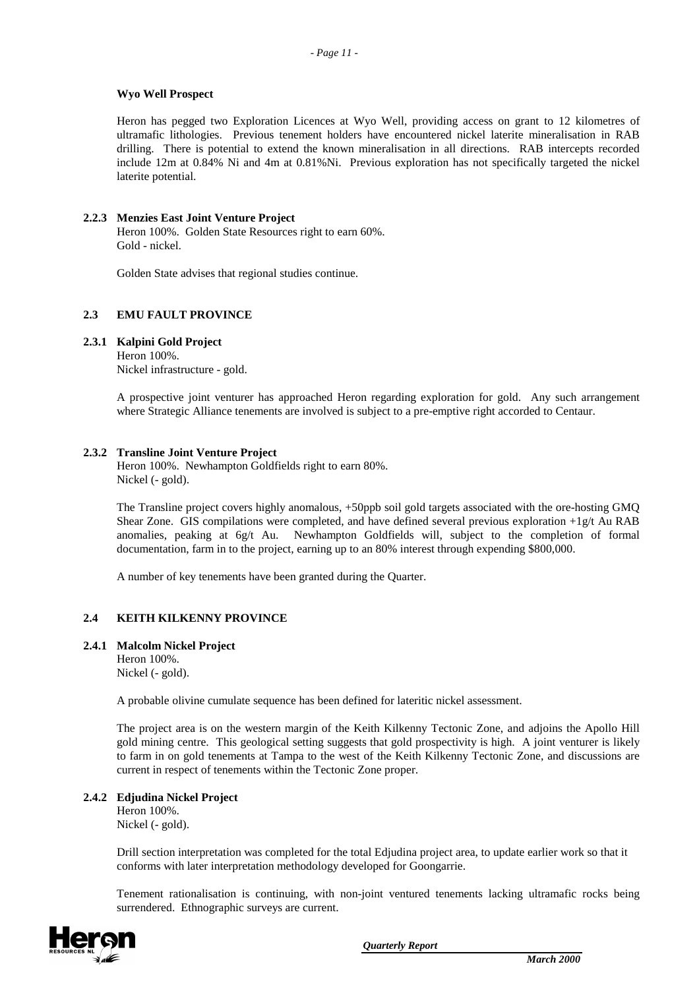### **Wyo Well Prospect**

Heron has pegged two Exploration Licences at Wyo Well, providing access on grant to 12 kilometres of ultramafic lithologies. Previous tenement holders have encountered nickel laterite mineralisation in RAB drilling. There is potential to extend the known mineralisation in all directions. RAB intercepts recorded include 12m at 0.84% Ni and 4m at 0.81%Ni. Previous exploration has not specifically targeted the nickel laterite potential.

# **2.2.3 Menzies East Joint Venture Project**

Heron 100%. Golden State Resources right to earn 60%. Gold - nickel.

Golden State advises that regional studies continue.

## **2.3 EMU FAULT PROVINCE**

#### **2.3.1 Kalpini Gold Project**

Heron 100%. Nickel infrastructure - gold.

A prospective joint venturer has approached Heron regarding exploration for gold. Any such arrangement where Strategic Alliance tenements are involved is subject to a pre-emptive right accorded to Centaur.

#### **2.3.2 Transline Joint Venture Project**

Heron 100%. Newhampton Goldfields right to earn 80%. Nickel (- gold).

The Transline project covers highly anomalous, +50ppb soil gold targets associated with the ore-hosting GMQ Shear Zone. GIS compilations were completed, and have defined several previous exploration  $+1g/t$  Au RAB anomalies, peaking at 6g/t Au. Newhampton Goldfields will, subject to the completion of formal documentation, farm in to the project, earning up to an 80% interest through expending \$800,000.

A number of key tenements have been granted during the Quarter.

# **2.4 KEITH KILKENNY PROVINCE**

#### **2.4.1 Malcolm Nickel Project**

Heron 100%. Nickel (- gold).

A probable olivine cumulate sequence has been defined for lateritic nickel assessment.

The project area is on the western margin of the Keith Kilkenny Tectonic Zone, and adjoins the Apollo Hill gold mining centre. This geological setting suggests that gold prospectivity is high. A joint venturer is likely to farm in on gold tenements at Tampa to the west of the Keith Kilkenny Tectonic Zone, and discussions are current in respect of tenements within the Tectonic Zone proper.

#### **2.4.2 Edjudina Nickel Project**

Heron 100%. Nickel (- gold).

Drill section interpretation was completed for the total Edjudina project area, to update earlier work so that it conforms with later interpretation methodology developed for Goongarrie.

Tenement rationalisation is continuing, with non-joint ventured tenements lacking ultramafic rocks being surrendered. Ethnographic surveys are current.

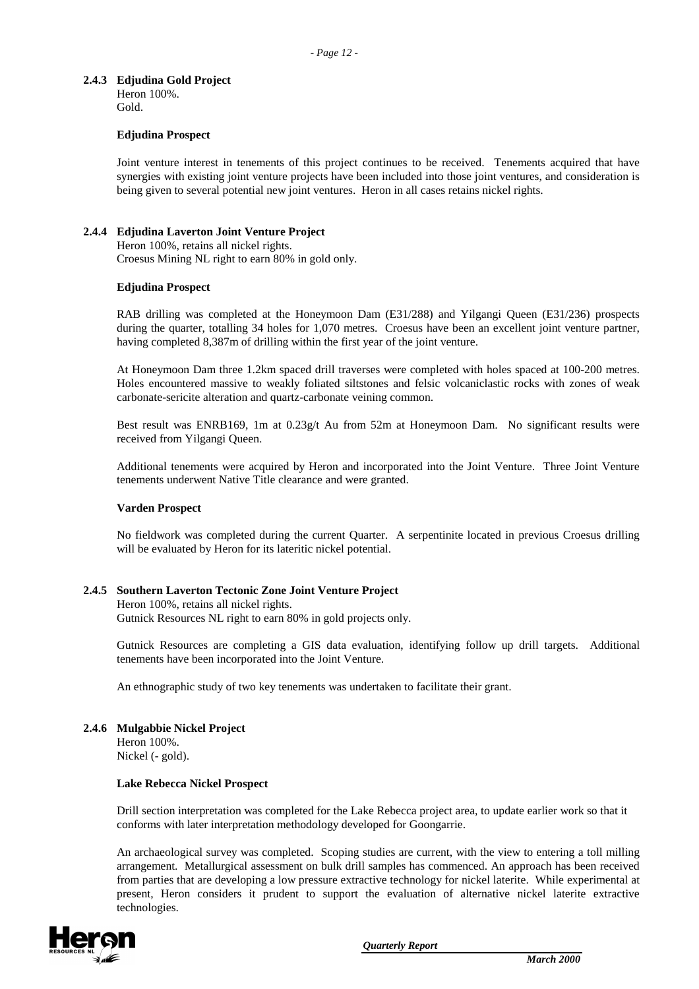## **2.4.3 Edjudina Gold Project**

Heron 100%. Gold.

### **Edjudina Prospect**

Joint venture interest in tenements of this project continues to be received. Tenements acquired that have synergies with existing joint venture projects have been included into those joint ventures, and consideration is being given to several potential new joint ventures. Heron in all cases retains nickel rights.

## **2.4.4 Edjudina Laverton Joint Venture Project**

Heron 100%, retains all nickel rights. Croesus Mining NL right to earn 80% in gold only.

#### **Edjudina Prospect**

RAB drilling was completed at the Honeymoon Dam (E31/288) and Yilgangi Queen (E31/236) prospects during the quarter, totalling 34 holes for 1,070 metres. Croesus have been an excellent joint venture partner, having completed 8,387m of drilling within the first year of the joint venture.

At Honeymoon Dam three 1.2km spaced drill traverses were completed with holes spaced at 100-200 metres. Holes encountered massive to weakly foliated siltstones and felsic volcaniclastic rocks with zones of weak carbonate-sericite alteration and quartz-carbonate veining common.

Best result was ENRB169, 1m at 0.23g/t Au from 52m at Honeymoon Dam. No significant results were received from Yilgangi Queen.

Additional tenements were acquired by Heron and incorporated into the Joint Venture. Three Joint Venture tenements underwent Native Title clearance and were granted.

#### **Varden Prospect**

No fieldwork was completed during the current Quarter. A serpentinite located in previous Croesus drilling will be evaluated by Heron for its lateritic nickel potential.

# **2.4.5 Southern Laverton Tectonic Zone Joint Venture Project**

Heron 100%, retains all nickel rights. Gutnick Resources NL right to earn 80% in gold projects only.

Gutnick Resources are completing a GIS data evaluation, identifying follow up drill targets. Additional tenements have been incorporated into the Joint Venture.

An ethnographic study of two key tenements was undertaken to facilitate their grant.

#### **2.4.6 Mulgabbie Nickel Project** Heron 100%.

Nickel (- gold).

#### **Lake Rebecca Nickel Prospect**

Drill section interpretation was completed for the Lake Rebecca project area, to update earlier work so that it conforms with later interpretation methodology developed for Goongarrie.

An archaeological survey was completed. Scoping studies are current, with the view to entering a toll milling arrangement. Metallurgical assessment on bulk drill samples has commenced. An approach has been received from parties that are developing a low pressure extractive technology for nickel laterite. While experimental at present, Heron considers it prudent to support the evaluation of alternative nickel laterite extractive technologies.

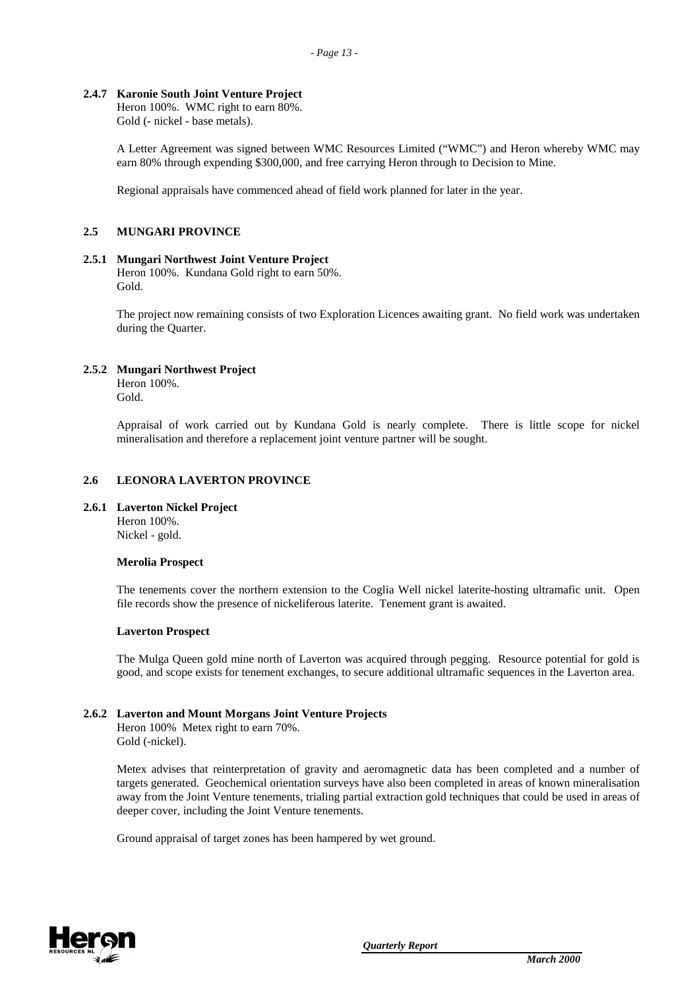### **2.4.7 Karonie South Joint Venture Project**

Heron 100%. WMC right to earn 80%. Gold (- nickel - base metals).

A Letter Agreement was signed between WMC Resources Limited ("WMC") and Heron whereby WMC may earn 80% through expending \$300,000, and free carrying Heron through to Decision to Mine.

Regional appraisals have commenced ahead of field work planned for later in the year.

#### **2.5 MUNGARI PROVINCE**

#### **2.5.1 Mungari Northwest Joint Venture Project**

Heron 100%. Kundana Gold right to earn 50%. Gold.

The project now remaining consists of two Exploration Licences awaiting grant. No field work was undertaken during the Quarter.

#### **2.5.2 Mungari Northwest Project**

Heron 100%. Gold.

Appraisal of work carried out by Kundana Gold is nearly complete. There is little scope for nickel mineralisation and therefore a replacement joint venture partner will be sought.

#### **2.6 LEONORA LAVERTON PROVINCE**

#### **2.6.1 Laverton Nickel Project**

Heron 100%. Nickel - gold.

#### **Merolia Prospect**

The tenements cover the northern extension to the Coglia Well nickel laterite-hosting ultramafic unit. Open file records show the presence of nickeliferous laterite. Tenement grant is awaited.

#### **Laverton Prospect**

The Mulga Queen gold mine north of Laverton was acquired through pegging. Resource potential for gold is good, and scope exists for tenement exchanges, to secure additional ultramafic sequences in the Laverton area.

#### **2.6.2 Laverton and Mount Morgans Joint Venture Projects**

Heron 100% Metex right to earn 70%. Gold (-nickel).

Metex advises that reinterpretation of gravity and aeromagnetic data has been completed and a number of targets generated. Geochemical orientation surveys have also been completed in areas of known mineralisation away from the Joint Venture tenements, trialing partial extraction gold techniques that could be used in areas of deeper cover, including the Joint Venture tenements.

Ground appraisal of target zones has been hampered by wet ground.

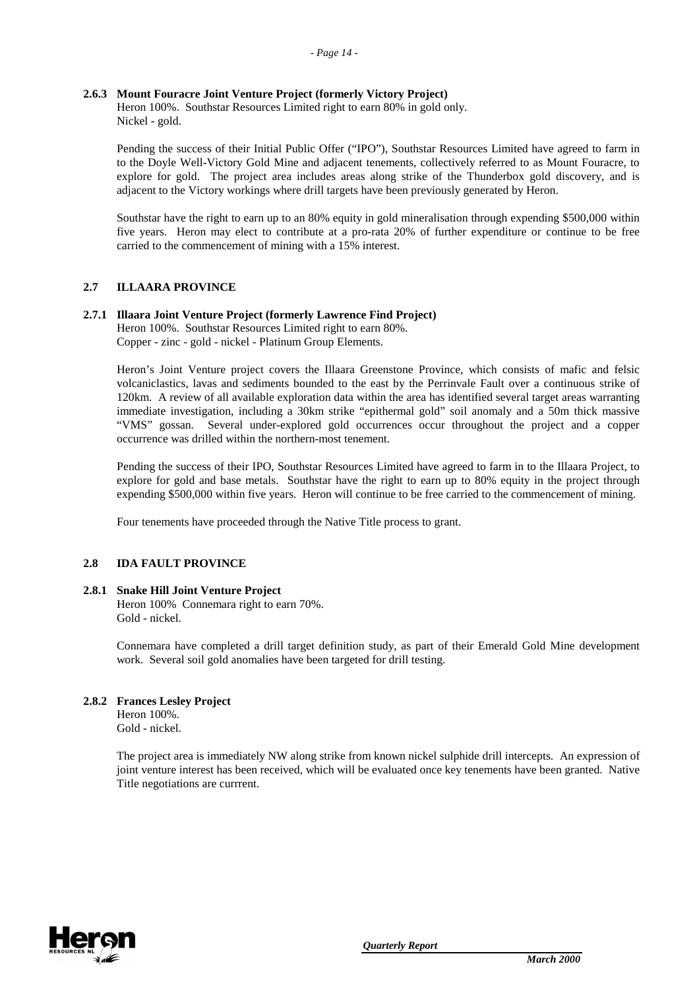## **2.6.3 Mount Fouracre Joint Venture Project (formerly Victory Project)**

Heron 100%. Southstar Resources Limited right to earn 80% in gold only. Nickel - gold.

Pending the success of their Initial Public Offer ("IPO"), Southstar Resources Limited have agreed to farm in to the Doyle Well-Victory Gold Mine and adjacent tenements, collectively referred to as Mount Fouracre, to explore for gold. The project area includes areas along strike of the Thunderbox gold discovery, and is adjacent to the Victory workings where drill targets have been previously generated by Heron.

Southstar have the right to earn up to an 80% equity in gold mineralisation through expending \$500,000 within five years. Heron may elect to contribute at a pro-rata 20% of further expenditure or continue to be free carried to the commencement of mining with a 15% interest.

## **2.7 ILLAARA PROVINCE**

#### **2.7.1 Illaara Joint Venture Project (formerly Lawrence Find Project)**

Heron 100%. Southstar Resources Limited right to earn 80%. Copper - zinc - gold - nickel - Platinum Group Elements.

Heron's Joint Venture project covers the Illaara Greenstone Province, which consists of mafic and felsic volcaniclastics, lavas and sediments bounded to the east by the Perrinvale Fault over a continuous strike of 120km. A review of all available exploration data within the area has identified several target areas warranting immediate investigation, including a 30km strike "epithermal gold" soil anomaly and a 50m thick massive "VMS" gossan. Several under-explored gold occurrences occur throughout the project and a copper occurrence was drilled within the northern-most tenement.

Pending the success of their IPO, Southstar Resources Limited have agreed to farm in to the Illaara Project, to explore for gold and base metals. Southstar have the right to earn up to 80% equity in the project through expending \$500,000 within five years. Heron will continue to be free carried to the commencement of mining.

Four tenements have proceeded through the Native Title process to grant.

#### **2.8 IDA FAULT PROVINCE**

#### **2.8.1 Snake Hill Joint Venture Project** Heron 100% Connemara right to earn 70%. Gold - nickel.

Connemara have completed a drill target definition study, as part of their Emerald Gold Mine development work. Several soil gold anomalies have been targeted for drill testing.

#### **2.8.2 Frances Lesley Project**

Heron 100%. Gold - nickel.

The project area is immediately NW along strike from known nickel sulphide drill intercepts. An expression of joint venture interest has been received, which will be evaluated once key tenements have been granted. Native Title negotiations are currrent.

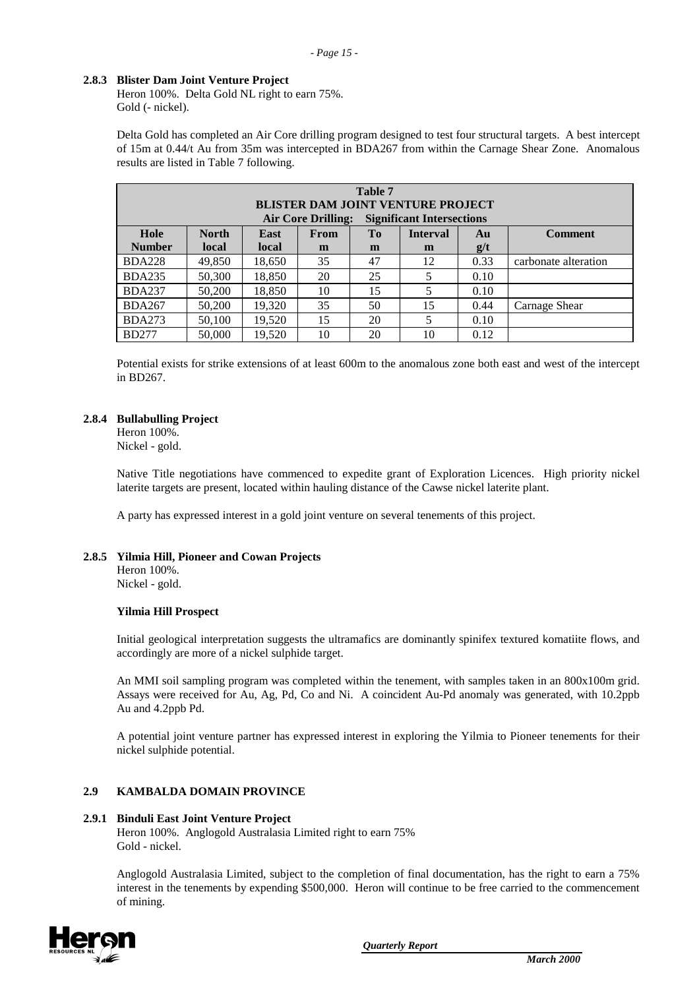## **2.8.3 Blister Dam Joint Venture Project**

Heron 100%. Delta Gold NL right to earn 75%. Gold (- nickel).

Delta Gold has completed an Air Core drilling program designed to test four structural targets. A best intercept of 15m at 0.44/t Au from 35m was intercepted in BDA267 from within the Carnage Shear Zone. Anomalous results are listed in Table 7 following.

| Table 7<br><b>BLISTER DAM JOINT VENTURE PROJECT</b>           |              |        |             |    |                 |      |                      |  |  |
|---------------------------------------------------------------|--------------|--------|-------------|----|-----------------|------|----------------------|--|--|
| <b>Significant Intersections</b><br><b>Air Core Drilling:</b> |              |        |             |    |                 |      |                      |  |  |
| Hole                                                          | <b>North</b> | East   | <b>From</b> | To | <b>Interval</b> | Au   | <b>Comment</b>       |  |  |
| <b>Number</b>                                                 | local        | local  | m           | m  | m               | g/t  |                      |  |  |
| <b>BDA228</b>                                                 | 49,850       | 18,650 | 35          | 47 | 12              | 0.33 | carbonate alteration |  |  |
| <b>BDA235</b>                                                 | 50,300       | 18,850 | 20          | 25 |                 | 0.10 |                      |  |  |
| <b>BDA237</b>                                                 | 50,200       | 18,850 | 10          | 15 | 5               | 0.10 |                      |  |  |
| <b>BDA267</b>                                                 | 50,200       | 19.320 | 35          | 50 | 15              | 0.44 | Carnage Shear        |  |  |
| <b>BDA273</b>                                                 | 50,100       | 19.520 | 15          | 20 |                 | 0.10 |                      |  |  |
| <b>BD277</b>                                                  | 50,000       | 19,520 | 10          | 20 | 10              | 0.12 |                      |  |  |

Potential exists for strike extensions of at least 600m to the anomalous zone both east and west of the intercept in BD267.

## **2.8.4 Bullabulling Project**

Heron 100%. Nickel - gold.

Native Title negotiations have commenced to expedite grant of Exploration Licences. High priority nickel laterite targets are present, located within hauling distance of the Cawse nickel laterite plant.

A party has expressed interest in a gold joint venture on several tenements of this project.

#### **2.8.5 Yilmia Hill, Pioneer and Cowan Projects**

Heron 100%. Nickel - gold.

#### **Yilmia Hill Prospect**

Initial geological interpretation suggests the ultramafics are dominantly spinifex textured komatiite flows, and accordingly are more of a nickel sulphide target.

An MMI soil sampling program was completed within the tenement, with samples taken in an 800x100m grid. Assays were received for Au, Ag, Pd, Co and Ni. A coincident Au-Pd anomaly was generated, with 10.2ppb Au and 4.2ppb Pd.

A potential joint venture partner has expressed interest in exploring the Yilmia to Pioneer tenements for their nickel sulphide potential.

#### **2.9 KAMBALDA DOMAIN PROVINCE**

#### **2.9.1 Binduli East Joint Venture Project**

Heron 100%. Anglogold Australasia Limited right to earn 75% Gold - nickel.

Anglogold Australasia Limited, subject to the completion of final documentation, has the right to earn a 75% interest in the tenements by expending \$500,000. Heron will continue to be free carried to the commencement of mining.

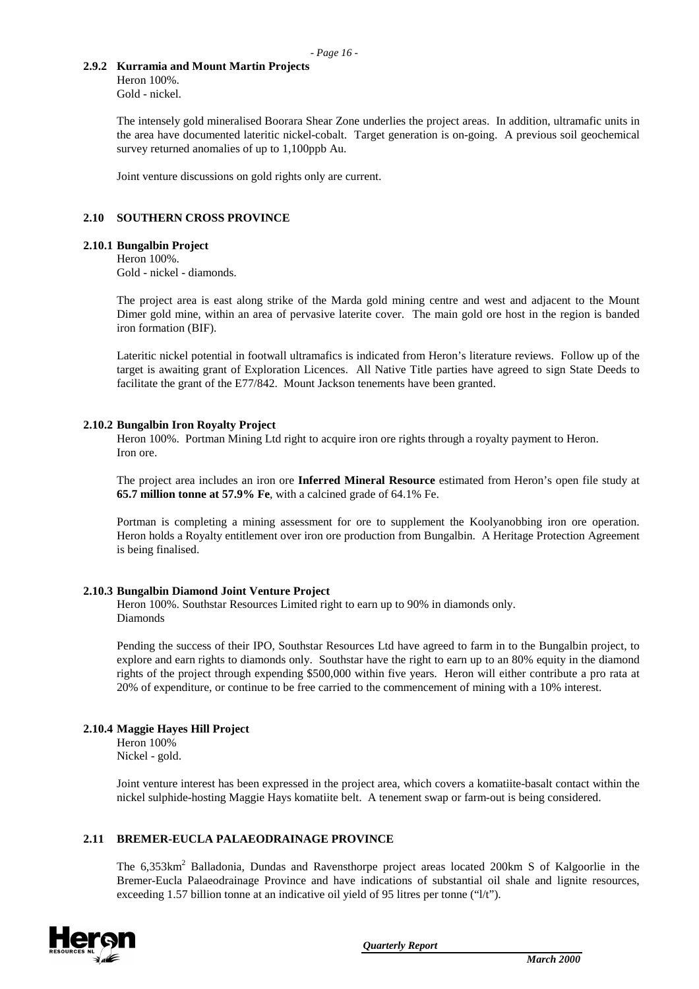### **2.9.2 Kurramia and Mount Martin Projects**

Heron 100%. Gold - nickel.

The intensely gold mineralised Boorara Shear Zone underlies the project areas. In addition, ultramafic units in the area have documented lateritic nickel-cobalt. Target generation is on-going. A previous soil geochemical survey returned anomalies of up to 1,100ppb Au.

Joint venture discussions on gold rights only are current.

## **2.10 SOUTHERN CROSS PROVINCE**

#### **2.10.1 Bungalbin Project**

Heron 100%. Gold - nickel - diamonds.

The project area is east along strike of the Marda gold mining centre and west and adjacent to the Mount Dimer gold mine, within an area of pervasive laterite cover. The main gold ore host in the region is banded iron formation (BIF).

Lateritic nickel potential in footwall ultramafics is indicated from Heron's literature reviews. Follow up of the target is awaiting grant of Exploration Licences. All Native Title parties have agreed to sign State Deeds to facilitate the grant of the E77/842. Mount Jackson tenements have been granted.

#### **2.10.2 Bungalbin Iron Royalty Project**

Heron 100%. Portman Mining Ltd right to acquire iron ore rights through a royalty payment to Heron. Iron ore.

The project area includes an iron ore **Inferred Mineral Resource** estimated from Heron's open file study at **65.7 million tonne at 57.9% Fe**, with a calcined grade of 64.1% Fe.

Portman is completing a mining assessment for ore to supplement the Koolyanobbing iron ore operation. Heron holds a Royalty entitlement over iron ore production from Bungalbin. A Heritage Protection Agreement is being finalised.

#### **2.10.3 Bungalbin Diamond Joint Venture Project**

Heron 100%. Southstar Resources Limited right to earn up to 90% in diamonds only. Diamonds

Pending the success of their IPO, Southstar Resources Ltd have agreed to farm in to the Bungalbin project, to explore and earn rights to diamonds only. Southstar have the right to earn up to an 80% equity in the diamond rights of the project through expending \$500,000 within five years. Heron will either contribute a pro rata at 20% of expenditure, or continue to be free carried to the commencement of mining with a 10% interest.

#### **2.10.4 Maggie Hayes Hill Project**

Heron 100% Nickel - gold.

Joint venture interest has been expressed in the project area, which covers a komatiite-basalt contact within the nickel sulphide-hosting Maggie Hays komatiite belt. A tenement swap or farm-out is being considered.

# **2.11 BREMER-EUCLA PALAEODRAINAGE PROVINCE**

The 6,353km<sup>2</sup> Balladonia, Dundas and Ravensthorpe project areas located 200km S of Kalgoorlie in the Bremer-Eucla Palaeodrainage Province and have indications of substantial oil shale and lignite resources, exceeding 1.57 billion tonne at an indicative oil yield of 95 litres per tonne ("1/t").

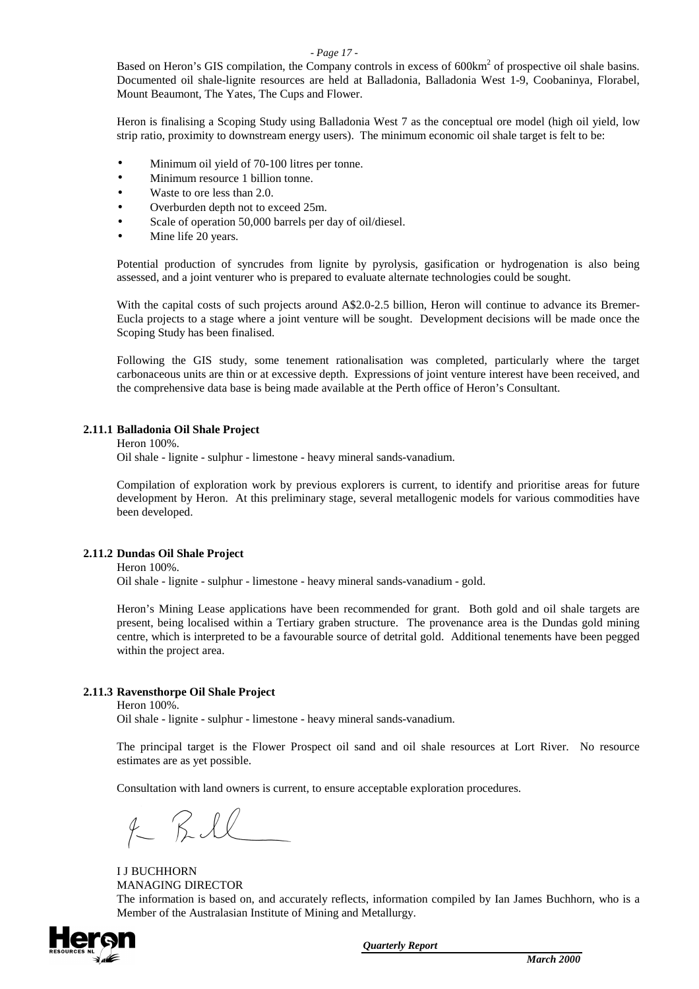#### *- Page 17 -*

Based on Heron's GIS compilation, the Company controls in excess of 600km<sup>2</sup> of prospective oil shale basins. Documented oil shale-lignite resources are held at Balladonia, Balladonia West 1-9, Coobaninya, Florabel, Mount Beaumont, The Yates, The Cups and Flower.

Heron is finalising a Scoping Study using Balladonia West 7 as the conceptual ore model (high oil yield, low strip ratio, proximity to downstream energy users). The minimum economic oil shale target is felt to be:

- Minimum oil yield of 70-100 litres per tonne.
- Minimum resource 1 billion tonne.
- Waste to ore less than 2.0.
- Overburden depth not to exceed 25m.
- Scale of operation 50,000 barrels per day of oil/diesel.
- Mine life 20 years.

Potential production of syncrudes from lignite by pyrolysis, gasification or hydrogenation is also being assessed, and a joint venturer who is prepared to evaluate alternate technologies could be sought.

With the capital costs of such projects around A\$2.0-2.5 billion, Heron will continue to advance its Bremer-Eucla projects to a stage where a joint venture will be sought. Development decisions will be made once the Scoping Study has been finalised.

Following the GIS study, some tenement rationalisation was completed, particularly where the target carbonaceous units are thin or at excessive depth. Expressions of joint venture interest have been received, and the comprehensive data base is being made available at the Perth office of Heron's Consultant.

# **2.11.1 Balladonia Oil Shale Project**

Heron 100%.

Oil shale - lignite - sulphur - limestone - heavy mineral sands-vanadium.

Compilation of exploration work by previous explorers is current, to identify and prioritise areas for future development by Heron. At this preliminary stage, several metallogenic models for various commodities have been developed.

#### **2.11.2 Dundas Oil Shale Project**

Heron 100%.

Oil shale - lignite - sulphur - limestone - heavy mineral sands-vanadium - gold.

Heron's Mining Lease applications have been recommended for grant. Both gold and oil shale targets are present, being localised within a Tertiary graben structure. The provenance area is the Dundas gold mining centre, which is interpreted to be a favourable source of detrital gold. Additional tenements have been pegged within the project area.

#### **2.11.3 Ravensthorpe Oil Shale Project**

Heron 100%.

Oil shale - lignite - sulphur - limestone - heavy mineral sands-vanadium.

The principal target is the Flower Prospect oil sand and oil shale resources at Lort River. No resource estimates are as yet possible.

Consultation with land owners is current, to ensure acceptable exploration procedures.

 $f K$ 

I J BUCHHORN MANAGING DIRECTOR

The information is based on, and accurately reflects, information compiled by Ian James Buchhorn, who is a Member of the Australasian Institute of Mining and Metallurgy.

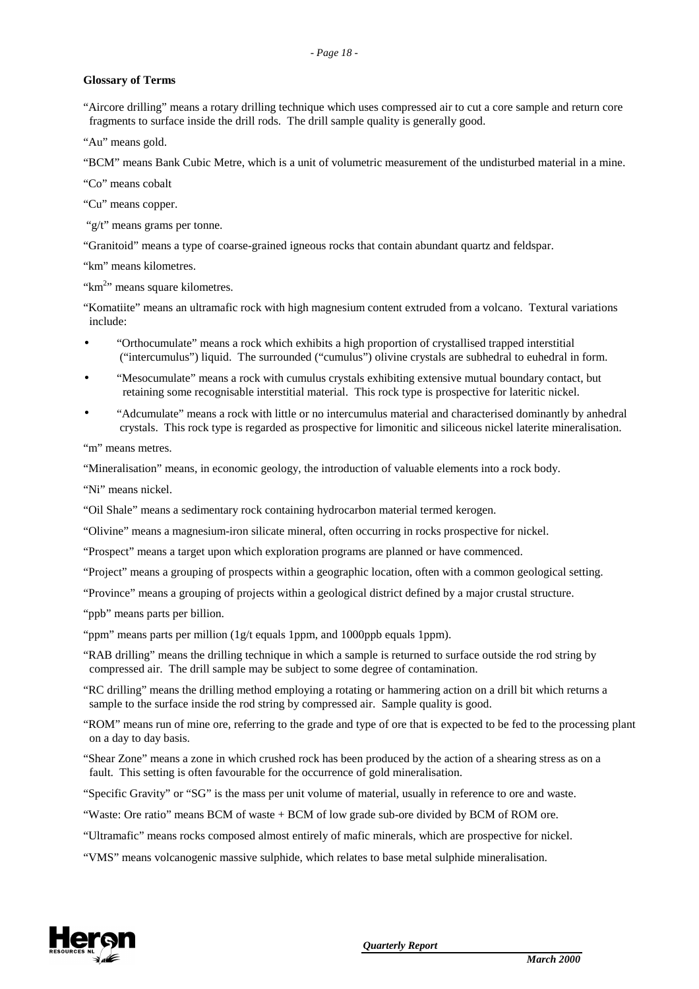#### **Glossary of Terms**

"Aircore drilling" means a rotary drilling technique which uses compressed air to cut a core sample and return core fragments to surface inside the drill rods. The drill sample quality is generally good.

"Au" means gold.

"BCM" means Bank Cubic Metre, which is a unit of volumetric measurement of the undisturbed material in a mine.

"Co" means cobalt

"Cu" means copper.

"g/t" means grams per tonne.

"Granitoid" means a type of coarse-grained igneous rocks that contain abundant quartz and feldspar.

"km" means kilometres.

"km<sup>2</sup>" means square kilometres.

"Komatiite" means an ultramafic rock with high magnesium content extruded from a volcano. Textural variations include:

- "Orthocumulate" means a rock which exhibits a high proportion of crystallised trapped interstitial ("intercumulus") liquid. The surrounded ("cumulus") olivine crystals are subhedral to euhedral in form.
- "Mesocumulate" means a rock with cumulus crystals exhibiting extensive mutual boundary contact, but retaining some recognisable interstitial material. This rock type is prospective for lateritic nickel.
- "Adcumulate" means a rock with little or no intercumulus material and characterised dominantly by anhedral crystals. This rock type is regarded as prospective for limonitic and siliceous nickel laterite mineralisation.

"m" means metres.

"Mineralisation" means, in economic geology, the introduction of valuable elements into a rock body.

"Ni" means nickel.

"Oil Shale" means a sedimentary rock containing hydrocarbon material termed kerogen.

"Olivine" means a magnesium-iron silicate mineral, often occurring in rocks prospective for nickel.

"Prospect" means a target upon which exploration programs are planned or have commenced.

"Project" means a grouping of prospects within a geographic location, often with a common geological setting.

"Province" means a grouping of projects within a geological district defined by a major crustal structure.

"ppb" means parts per billion.

"ppm" means parts per million (1g/t equals 1ppm, and 1000ppb equals 1ppm).

- "RAB drilling" means the drilling technique in which a sample is returned to surface outside the rod string by compressed air. The drill sample may be subject to some degree of contamination.
- "RC drilling" means the drilling method employing a rotating or hammering action on a drill bit which returns a sample to the surface inside the rod string by compressed air. Sample quality is good.
- "ROM" means run of mine ore, referring to the grade and type of ore that is expected to be fed to the processing plant on a day to day basis.
- "Shear Zone" means a zone in which crushed rock has been produced by the action of a shearing stress as on a fault. This setting is often favourable for the occurrence of gold mineralisation.
- "Specific Gravity" or "SG" is the mass per unit volume of material, usually in reference to ore and waste.
- "Waste: Ore ratio" means BCM of waste + BCM of low grade sub-ore divided by BCM of ROM ore.
- "Ultramafic" means rocks composed almost entirely of mafic minerals, which are prospective for nickel.
- "VMS" means volcanogenic massive sulphide, which relates to base metal sulphide mineralisation.

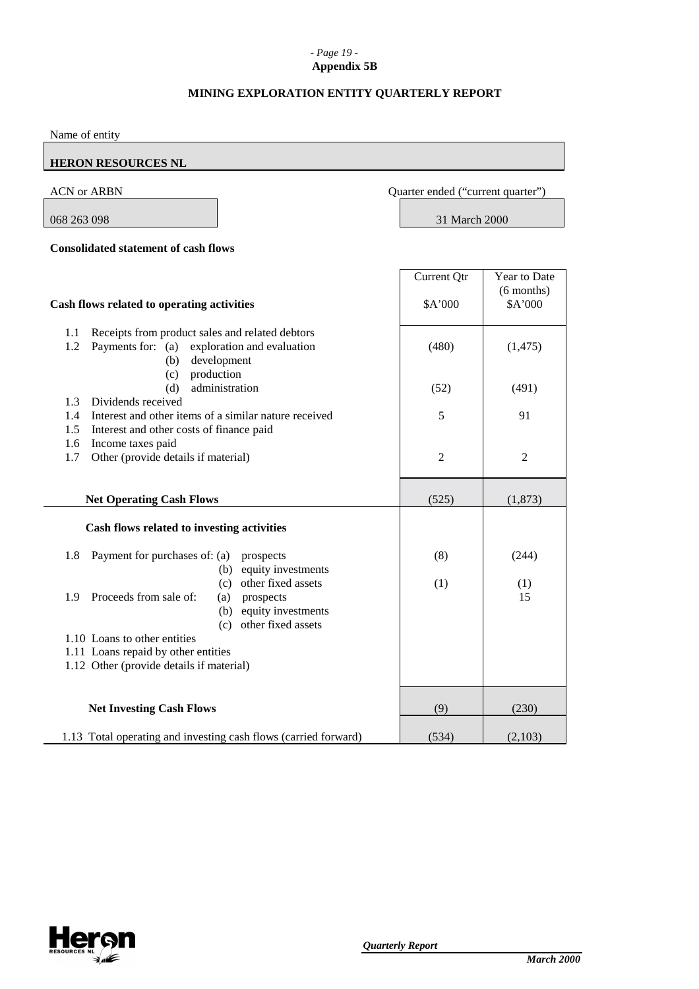# *- Page 19 -* **Appendix 5B**

# **MINING EXPLORATION ENTITY QUARTERLY REPORT**

| Name of entity                                                                                                                            |                                   |                         |
|-------------------------------------------------------------------------------------------------------------------------------------------|-----------------------------------|-------------------------|
| <b>HERON RESOURCES NL</b>                                                                                                                 |                                   |                         |
| <b>ACN or ARBN</b>                                                                                                                        | Quarter ended ("current quarter") |                         |
| 068 263 098                                                                                                                               | 31 March 2000                     |                         |
| <b>Consolidated statement of cash flows</b>                                                                                               |                                   |                         |
|                                                                                                                                           | Current Qtr                       | Year to Date            |
| Cash flows related to operating activities                                                                                                | \$A'000                           | $(6$ months)<br>\$A'000 |
| Receipts from product sales and related debtors<br>1.1<br>1.2<br>Payments for: (a)<br>exploration and evaluation<br>development<br>(b)    | (480)                             | (1, 475)                |
| production<br>(c)<br>administration<br>(d)<br>Dividends received<br>1.3                                                                   | (52)                              | (491)                   |
| 1.4<br>Interest and other items of a similar nature received<br>1.5<br>Interest and other costs of finance paid                           | 5                                 | 91                      |
| 1.6<br>Income taxes paid<br>1.7<br>Other (provide details if material)                                                                    | $\overline{2}$                    | $\mathfrak{2}$          |
| <b>Net Operating Cash Flows</b>                                                                                                           | (525)                             | (1, 873)                |
| Cash flows related to investing activities                                                                                                |                                   |                         |
| 1.8<br>Payment for purchases of: (a)<br>prospects<br>(b) equity investments                                                               | (8)                               | (244)                   |
| (c) other fixed assets<br>1.9<br>Proceeds from sale of:<br>prospects<br>(a)<br>(b) equity investments                                     | (1)                               | (1)<br>15               |
| (c) other fixed assets<br>1.10 Loans to other entities<br>1.11 Loans repaid by other entities<br>1.12 Other (provide details if material) |                                   |                         |
| <b>Net Investing Cash Flows</b>                                                                                                           | (9)                               | (230)                   |
| 1.13 Total operating and investing cash flows (carried forward)                                                                           | (534)                             | (2,103)                 |

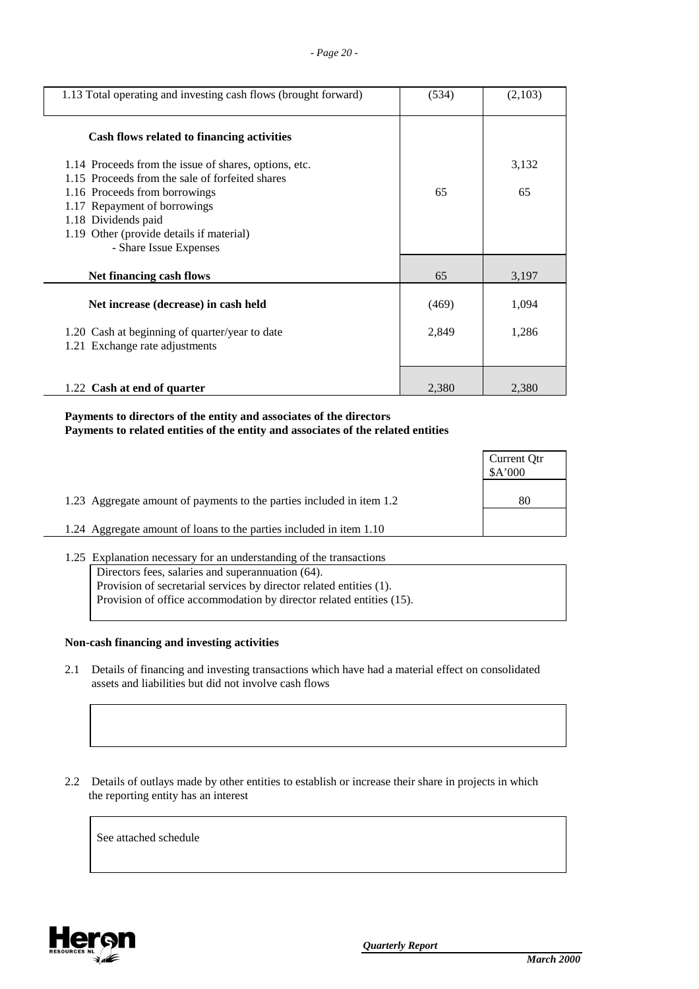| 1.13 Total operating and investing cash flows (brought forward)                                                                                                                                                                                                                                                      | (534) | (2,103)     |
|----------------------------------------------------------------------------------------------------------------------------------------------------------------------------------------------------------------------------------------------------------------------------------------------------------------------|-------|-------------|
| Cash flows related to financing activities<br>1.14 Proceeds from the issue of shares, options, etc.<br>1.15 Proceeds from the sale of forfeited shares<br>1.16 Proceeds from borrowings<br>1.17 Repayment of borrowings<br>1.18 Dividends paid<br>1.19 Other (provide details if material)<br>- Share Issue Expenses | 65    | 3,132<br>65 |
| Net financing cash flows                                                                                                                                                                                                                                                                                             | 65    | 3,197       |
| Net increase (decrease) in cash held                                                                                                                                                                                                                                                                                 | (469) | 1,094       |
| 1.20 Cash at beginning of quarter/year to date<br>1.21 Exchange rate adjustments                                                                                                                                                                                                                                     | 2,849 | 1,286       |
|                                                                                                                                                                                                                                                                                                                      |       |             |
| 1.22 Cash at end of quarter                                                                                                                                                                                                                                                                                          | 2,380 | 2,380       |

# **Payments to directors of the entity and associates of the directors Payments to related entities of the entity and associates of the related entities**

|                                                                       | Current Qtr<br>\$A'000 |
|-----------------------------------------------------------------------|------------------------|
| 1.23 Aggregate amount of payments to the parties included in item 1.2 | 80                     |
| 1.24 Aggregate amount of loans to the parties included in item 1.10   |                        |

| 1.25 Explanation necessary for an understanding of the transactions  |  |  |  |
|----------------------------------------------------------------------|--|--|--|
| Directors fees, salaries and superannuation (64).                    |  |  |  |
| Provision of secretarial services by director related entities (1).  |  |  |  |
| Provision of office accommodation by director related entities (15). |  |  |  |
|                                                                      |  |  |  |

#### **Non-cash financing and investing activities**

 2.1 Details of financing and investing transactions which have had a material effect on consolidated assets and liabilities but did not involve cash flows

 2.2 Details of outlays made by other entities to establish or increase their share in projects in which the reporting entity has an interest

See attached schedule

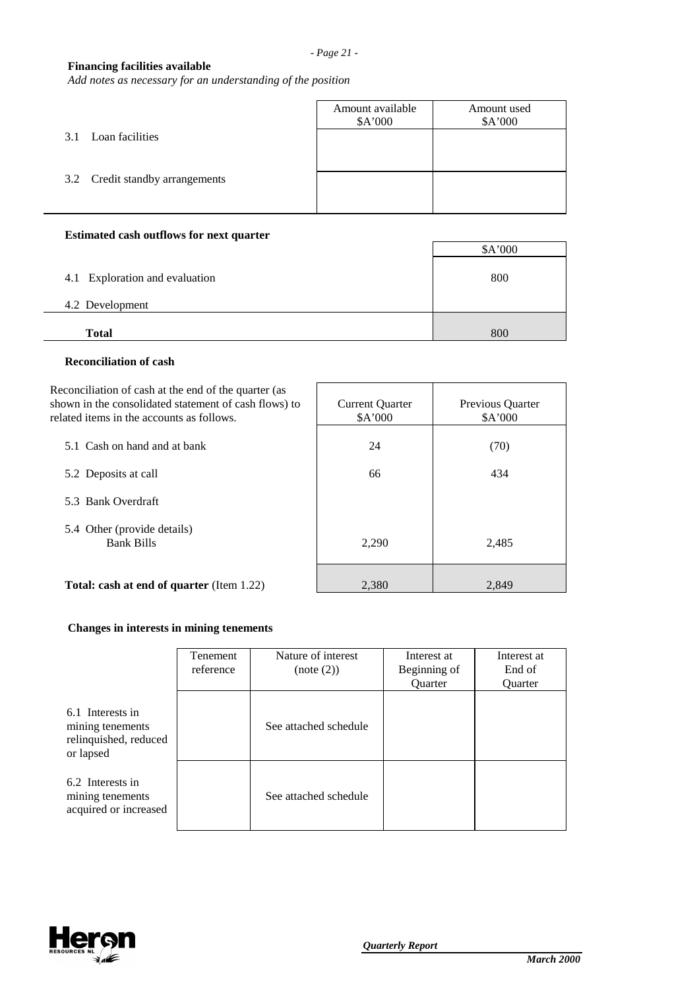# **Financing facilities available**

*Add notes as necessary for an understanding of the position*

|                                 | Amount available<br>\$A'000 | Amount used<br>\$A'000 |
|---------------------------------|-----------------------------|------------------------|
| Loan facilities<br>3.1          |                             |                        |
| 3.2 Credit standby arrangements |                             |                        |
|                                 |                             |                        |

## **Estimated cash outflows for next quarter**

|                                | \$A'000 |
|--------------------------------|---------|
| 4.1 Exploration and evaluation | 800     |
| 4.2 Development                |         |
| <b>Total</b>                   | 800     |

### **Reconciliation of cash**

| Reconciliation of cash at the end of the quarter (as<br>shown in the consolidated statement of cash flows) to<br>related items in the accounts as follows. | <b>Current Quarter</b><br>\$A'000 | Previous Quarter<br>\$A'000 |
|------------------------------------------------------------------------------------------------------------------------------------------------------------|-----------------------------------|-----------------------------|
| 5.1 Cash on hand and at bank                                                                                                                               | 24                                | (70)                        |
| 5.2 Deposits at call                                                                                                                                       | 66                                | 434                         |
| 5.3 Bank Overdraft                                                                                                                                         |                                   |                             |
| 5.4 Other (provide details)<br><b>Bank Bills</b>                                                                                                           | 2,290                             | 2,485                       |
| <b>Total: cash at end of quarter (Item 1.22)</b>                                                                                                           | 2,380                             | 2,849                       |

## **Changes in interests in mining tenements**

|                                                                            | <b>Tenement</b><br>reference | Nature of interest<br>(note (2)) | Interest at<br>Beginning of<br>Quarter | Interest at<br>End of<br><b>Ouarter</b> |
|----------------------------------------------------------------------------|------------------------------|----------------------------------|----------------------------------------|-----------------------------------------|
| 6.1 Interests in<br>mining tenements<br>relinquished, reduced<br>or lapsed |                              | See attached schedule            |                                        |                                         |
| 6.2 Interests in<br>mining tenements<br>acquired or increased              |                              | See attached schedule            |                                        |                                         |

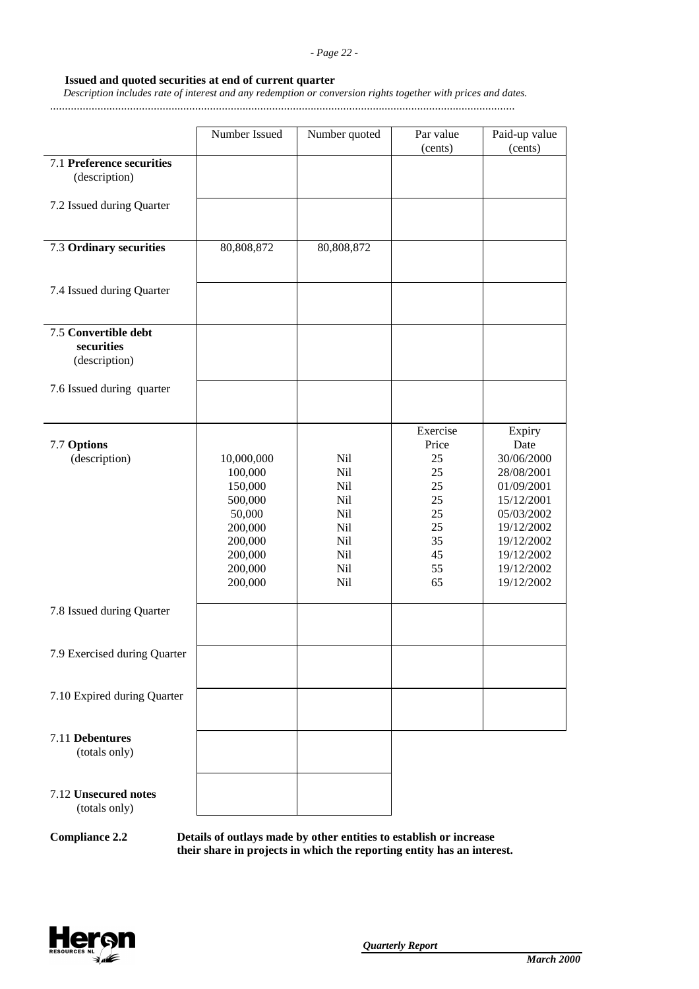#### *- Page 22 -*

## **Issued and quoted securities at end of current quarter**

 *Description includes rate of interest and any redemption or conversion rights together with prices and dates.*

.............................................................................................................................................................

|                                                     | Number Issued                                                                                                | Number quoted                                                      | Par value<br>(cents)                                                          | Paid-up value<br>(cents)                                                                                                                                   |
|-----------------------------------------------------|--------------------------------------------------------------------------------------------------------------|--------------------------------------------------------------------|-------------------------------------------------------------------------------|------------------------------------------------------------------------------------------------------------------------------------------------------------|
| <b>7.1 Preference securities</b><br>(description)   |                                                                                                              |                                                                    |                                                                               |                                                                                                                                                            |
| 7.2 Issued during Quarter                           |                                                                                                              |                                                                    |                                                                               |                                                                                                                                                            |
| 7.3 Ordinary securities                             | 80,808,872                                                                                                   | 80,808,872                                                         |                                                                               |                                                                                                                                                            |
| 7.4 Issued during Quarter                           |                                                                                                              |                                                                    |                                                                               |                                                                                                                                                            |
| 7.5 Convertible debt<br>securities<br>(description) |                                                                                                              |                                                                    |                                                                               |                                                                                                                                                            |
| 7.6 Issued during quarter                           |                                                                                                              |                                                                    |                                                                               |                                                                                                                                                            |
| 7.7 Options<br>(description)                        | 10,000,000<br>100,000<br>150,000<br>500,000<br>50,000<br>200,000<br>200,000<br>200,000<br>200,000<br>200,000 | Nil<br>Nil<br>Nil<br>Nil<br>Nil<br>Nil<br>Nil<br>Nil<br>Nil<br>Nil | Exercise<br>Price<br>25<br>25<br>25<br>25<br>25<br>25<br>35<br>45<br>55<br>65 | Expiry<br>Date<br>30/06/2000<br>28/08/2001<br>01/09/2001<br>15/12/2001<br>05/03/2002<br>19/12/2002<br>19/12/2002<br>19/12/2002<br>19/12/2002<br>19/12/2002 |
| 7.8 Issued during Quarter                           |                                                                                                              |                                                                    |                                                                               |                                                                                                                                                            |
| 7.9 Exercised during Quarter                        |                                                                                                              |                                                                    |                                                                               |                                                                                                                                                            |
| 7.10 Expired during Quarter                         |                                                                                                              |                                                                    |                                                                               |                                                                                                                                                            |
| 7.11 Debentures<br>(totals only)                    |                                                                                                              |                                                                    |                                                                               |                                                                                                                                                            |
| 7.12 Unsecured notes<br>(totals only)               |                                                                                                              |                                                                    |                                                                               |                                                                                                                                                            |

**Compliance 2.2 Details of outlays made by other entities to establish or increase their share in projects in which the reporting entity has an interest.**

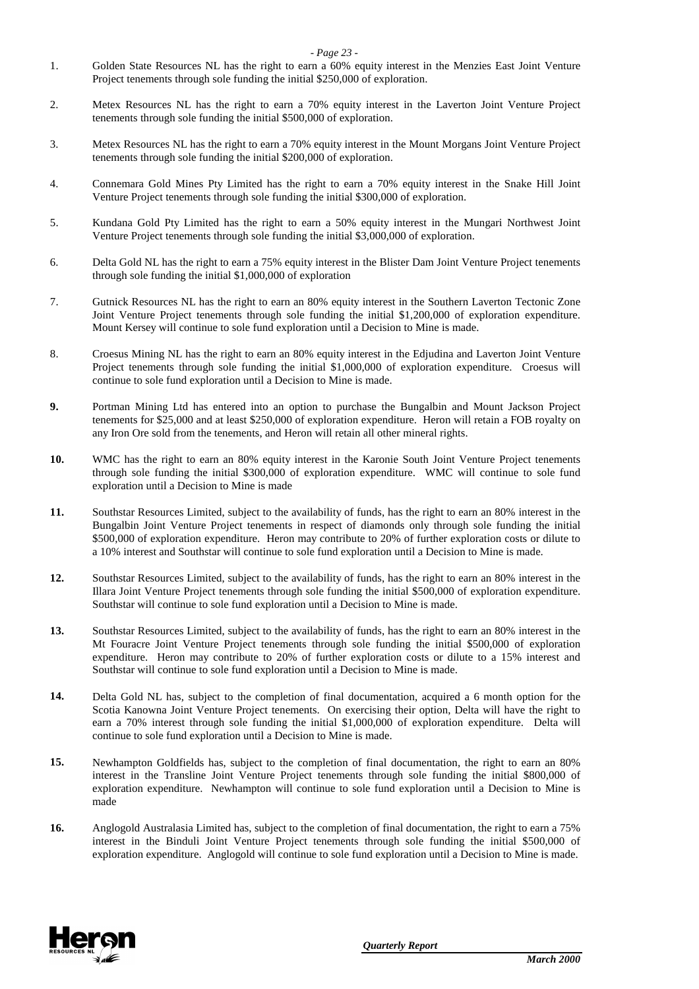- *Page 23 -*
- 1. Golden State Resources NL has the right to earn a 60% equity interest in the Menzies East Joint Venture Project tenements through sole funding the initial \$250,000 of exploration.
- 2. Metex Resources NL has the right to earn a 70% equity interest in the Laverton Joint Venture Project tenements through sole funding the initial \$500,000 of exploration.
- 3. Metex Resources NL has the right to earn a 70% equity interest in the Mount Morgans Joint Venture Project tenements through sole funding the initial \$200,000 of exploration.
- 4. Connemara Gold Mines Pty Limited has the right to earn a 70% equity interest in the Snake Hill Joint Venture Project tenements through sole funding the initial \$300,000 of exploration.
- 5. Kundana Gold Pty Limited has the right to earn a 50% equity interest in the Mungari Northwest Joint Venture Project tenements through sole funding the initial \$3,000,000 of exploration.
- 6. Delta Gold NL has the right to earn a 75% equity interest in the Blister Dam Joint Venture Project tenements through sole funding the initial \$1,000,000 of exploration
- 7. Gutnick Resources NL has the right to earn an 80% equity interest in the Southern Laverton Tectonic Zone Joint Venture Project tenements through sole funding the initial \$1,200,000 of exploration expenditure. Mount Kersey will continue to sole fund exploration until a Decision to Mine is made.
- 8. Croesus Mining NL has the right to earn an 80% equity interest in the Edjudina and Laverton Joint Venture Project tenements through sole funding the initial \$1,000,000 of exploration expenditure. Croesus will continue to sole fund exploration until a Decision to Mine is made.
- **9.** Portman Mining Ltd has entered into an option to purchase the Bungalbin and Mount Jackson Project tenements for \$25,000 and at least \$250,000 of exploration expenditure. Heron will retain a FOB royalty on any Iron Ore sold from the tenements, and Heron will retain all other mineral rights.
- **10.** WMC has the right to earn an 80% equity interest in the Karonie South Joint Venture Project tenements through sole funding the initial \$300,000 of exploration expenditure. WMC will continue to sole fund exploration until a Decision to Mine is made
- **11.** Southstar Resources Limited, subject to the availability of funds, has the right to earn an 80% interest in the Bungalbin Joint Venture Project tenements in respect of diamonds only through sole funding the initial \$500,000 of exploration expenditure. Heron may contribute to 20% of further exploration costs or dilute to a 10% interest and Southstar will continue to sole fund exploration until a Decision to Mine is made.
- **12.** Southstar Resources Limited, subject to the availability of funds, has the right to earn an 80% interest in the Illara Joint Venture Project tenements through sole funding the initial \$500,000 of exploration expenditure. Southstar will continue to sole fund exploration until a Decision to Mine is made.
- **13.** Southstar Resources Limited, subject to the availability of funds, has the right to earn an 80% interest in the Mt Fouracre Joint Venture Project tenements through sole funding the initial \$500,000 of exploration expenditure. Heron may contribute to 20% of further exploration costs or dilute to a 15% interest and Southstar will continue to sole fund exploration until a Decision to Mine is made.
- **14.** Delta Gold NL has, subject to the completion of final documentation, acquired a 6 month option for the Scotia Kanowna Joint Venture Project tenements. On exercising their option, Delta will have the right to earn a 70% interest through sole funding the initial \$1,000,000 of exploration expenditure. Delta will continue to sole fund exploration until a Decision to Mine is made.
- **15.** Newhampton Goldfields has, subject to the completion of final documentation, the right to earn an 80% interest in the Transline Joint Venture Project tenements through sole funding the initial \$800,000 of exploration expenditure. Newhampton will continue to sole fund exploration until a Decision to Mine is made
- **16.** Anglogold Australasia Limited has, subject to the completion of final documentation, the right to earn a 75% interest in the Binduli Joint Venture Project tenements through sole funding the initial \$500,000 of exploration expenditure. Anglogold will continue to sole fund exploration until a Decision to Mine is made.

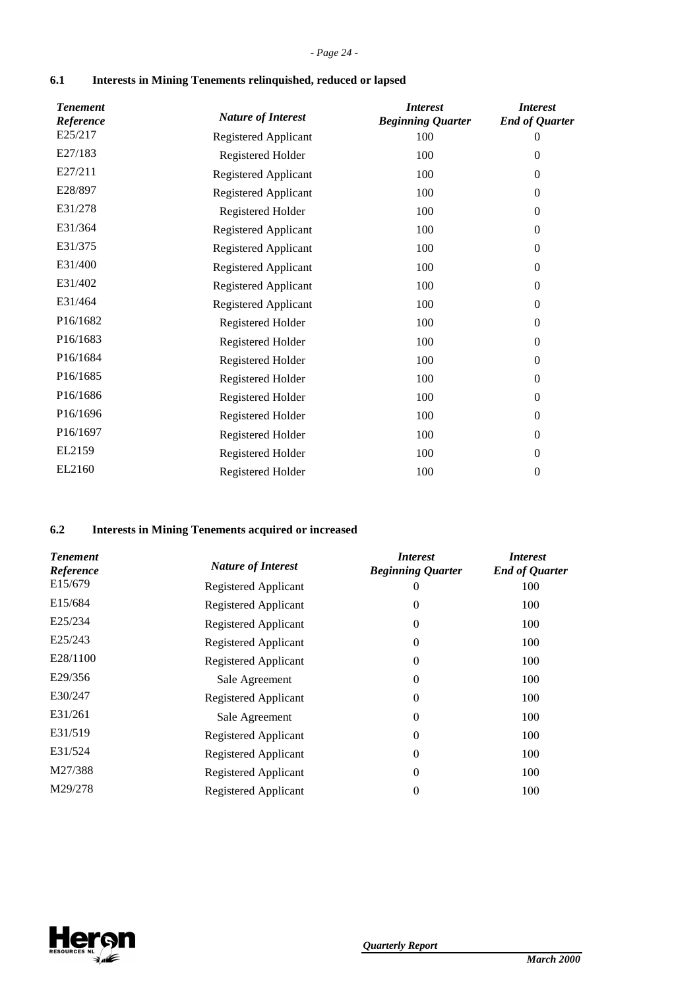# **6.1 Interests in Mining Tenements relinquished, reduced or lapsed**

| <b>Tenement</b><br>Reference | <b>Nature of Interest</b>   | <i>Interest</i><br><b>Beginning Quarter</b> | <i>Interest</i><br><b>End of Quarter</b> |
|------------------------------|-----------------------------|---------------------------------------------|------------------------------------------|
| E25/217                      | Registered Applicant        | 100                                         | 0                                        |
| E27/183                      | Registered Holder           | 100                                         | $\theta$                                 |
| E27/211                      | Registered Applicant        | 100                                         | $\boldsymbol{0}$                         |
| E28/897                      | Registered Applicant        | 100                                         | $\boldsymbol{0}$                         |
| E31/278                      | Registered Holder           | 100                                         | $\theta$                                 |
| E31/364                      | <b>Registered Applicant</b> | 100                                         | $\theta$                                 |
| E31/375                      | <b>Registered Applicant</b> | 100                                         | $\overline{0}$                           |
| E31/400                      | Registered Applicant        | 100                                         | $\theta$                                 |
| E31/402                      | Registered Applicant        | 100                                         | $\boldsymbol{0}$                         |
| E31/464                      | <b>Registered Applicant</b> | 100                                         | $\theta$                                 |
| P <sub>16</sub> /1682        | Registered Holder           | 100                                         | $\boldsymbol{0}$                         |
| P16/1683                     | Registered Holder           | 100                                         | $\overline{0}$                           |
| P <sub>16</sub> /1684        | Registered Holder           | 100                                         | $\theta$                                 |
| P16/1685                     | Registered Holder           | 100                                         | $\theta$                                 |
| P <sub>16</sub> /1686        | Registered Holder           | 100                                         | $\overline{0}$                           |
| P16/1696                     | Registered Holder           | 100                                         | $\theta$                                 |
| P16/1697                     | Registered Holder           | 100                                         | $\mathbf{0}$                             |
| EL2159                       | Registered Holder           | 100                                         | $\theta$                                 |
| EL2160                       | Registered Holder           | 100                                         | $\mathbf{0}$                             |
|                              |                             |                                             |                                          |

# **6.2 Interests in Mining Tenements acquired or increased**

| <b>Tenement</b><br>Reference | <b>Nature of Interest</b>   | <i>Interest</i><br><b>Beginning Quarter</b> | <i>Interest</i><br><b>End of Quarter</b> |
|------------------------------|-----------------------------|---------------------------------------------|------------------------------------------|
| E15/679                      | Registered Applicant        | O                                           | 100                                      |
| E15/684                      | <b>Registered Applicant</b> | 0                                           | 100                                      |
| E25/234                      | Registered Applicant        | 0                                           | 100                                      |
| E25/243                      | Registered Applicant        | 0                                           | 100                                      |
| E28/1100                     | Registered Applicant        | 0                                           | 100                                      |
| E29/356                      | Sale Agreement              | 0                                           | 100                                      |
| E30/247                      | Registered Applicant        | $\theta$                                    | 100                                      |
| E31/261                      | Sale Agreement              | 0                                           | 100                                      |
| E31/519                      | <b>Registered Applicant</b> | 0                                           | 100                                      |
| E31/524                      | Registered Applicant        | 0                                           | 100                                      |
| M27/388                      | Registered Applicant        | $\Omega$                                    | 100                                      |
| M29/278                      | <b>Registered Applicant</b> | 0                                           | 100                                      |